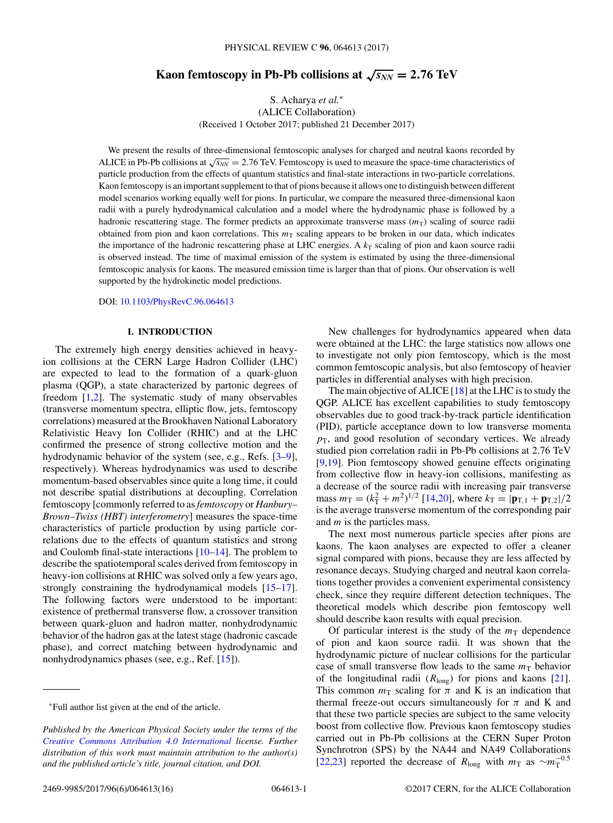# <span id="page-0-0"></span>**Kaon femtoscopy in Pb-Pb collisions at**  $\sqrt{s_{NN}} = 2.76 \text{ TeV}$

# S. Acharya *et al.*<sup>∗</sup> (ALICE Collaboration) (Received 1 October 2017; published 21 December 2017)

We present the results of three-dimensional femtoscopic analyses for charged and neutral kaons recorded by ALICE in Pb-Pb collisions at  $\sqrt{s_{NN}}$  = 2.76 TeV. Femtoscopy is used to measure the space-time characteristics of particle production from the effects of quantum statistics and final-state interactions in two-particle correlations. Kaon femtoscopy is an important supplement to that of pions because it allows one to distinguish between different model scenarios working equally well for pions. In particular, we compare the measured three-dimensional kaon radii with a purely hydrodynamical calculation and a model where the hydrodynamic phase is followed by a hadronic rescattering stage. The former predicts an approximate transverse mass  $(m<sub>T</sub>)$  scaling of source radii obtained from pion and kaon correlations. This  $m<sub>T</sub>$  scaling appears to be broken in our data, which indicates the importance of the hadronic rescattering phase at LHC energies. A  $k<sub>T</sub>$  scaling of pion and kaon source radii is observed instead. The time of maximal emission of the system is estimated by using the three-dimensional femtoscopic analysis for kaons. The measured emission time is larger than that of pions. Our observation is well supported by the hydrokinetic model predictions.

DOI: [10.1103/PhysRevC.96.064613](https://doi.org/10.1103/PhysRevC.96.064613)

### **I. INTRODUCTION**

The extremely high energy densities achieved in heavyion collisions at the CERN Large Hadron Collider (LHC) are expected to lead to the formation of a quark-gluon plasma (QGP), a state characterized by partonic degrees of freedom [\[1,2\]](#page-8-0). The systematic study of many observables (transverse momentum spectra, elliptic flow, jets, femtoscopy correlations) measured at the Brookhaven National Laboratory Relativistic Heavy Ion Collider (RHIC) and at the LHC confirmed the presence of strong collective motion and the hydrodynamic behavior of the system (see, e.g., Refs. [\[3](#page-8-0)[–9\]](#page-9-0), respectively). Whereas hydrodynamics was used to describe momentum-based observables since quite a long time, it could not describe spatial distributions at decoupling. Correlation femtoscopy [commonly referred to as*femtoscopy* or *Hanbury– Brown–Twiss (HBT) interferometry*] measures the space-time characteristics of particle production by using particle correlations due to the effects of quantum statistics and strong and Coulomb final-state interactions [\[10–14\]](#page-9-0). The problem to describe the spatiotemporal scales derived from femtoscopy in heavy-ion collisions at RHIC was solved only a few years ago, strongly constraining the hydrodynamical models [\[15–17\]](#page-9-0). The following factors were understood to be important: existence of prethermal transverse flow, a crossover transition between quark-gluon and hadron matter, nonhydrodynamic behavior of the hadron gas at the latest stage (hadronic cascade phase), and correct matching between hydrodynamic and nonhydrodynamics phases (see, e.g., Ref. [\[15\]](#page-9-0)).

New challenges for hydrodynamics appeared when data were obtained at the LHC: the large statistics now allows one to investigate not only pion femtoscopy, which is the most common femtoscopic analysis, but also femtoscopy of heavier particles in differential analyses with high precision.

The main objective of ALICE [\[18\]](#page-9-0) at the LHC is to study the QGP. ALICE has excellent capabilities to study femtoscopy observables due to good track-by-track particle identification (PID), particle acceptance down to low transverse momenta  $p<sub>T</sub>$ , and good resolution of secondary vertices. We already studied pion correlation radii in Pb-Pb collisions at 2.76 TeV [\[9,19\]](#page-9-0). Pion femtoscopy showed genuine effects originating from collective flow in heavy-ion collisions, manifesting as a decrease of the source radii with increasing pair transverse mass  $m_T = (k_T^2 + m^2)^{1/2}$  [\[14,20\]](#page-9-0), where  $k_T = |\mathbf{p}_{T,1} + \mathbf{p}_{T,2}|/2$ is the average transverse momentum of the corresponding pair and m is the particles mass.

The next most numerous particle species after pions are kaons. The kaon analyses are expected to offer a cleaner signal compared with pions, because they are less affected by resonance decays. Studying charged and neutral kaon correlations together provides a convenient experimental consistency check, since they require different detection techniques. The theoretical models which describe pion femtoscopy well should describe kaon results with equal precision.

Of particular interest is the study of the  $m<sub>T</sub>$  dependence of pion and kaon source radii. It was shown that the hydrodynamic picture of nuclear collisions for the particular case of small transverse flow leads to the same  $m<sub>T</sub>$  behavior of the longitudinal radii  $(R_{\text{long}})$  for pions and kaons [\[21\]](#page-9-0). This common  $m<sub>T</sub>$  scaling for  $\pi$  and K is an indication that thermal freeze-out occurs simultaneously for  $\pi$  and K and that these two particle species are subject to the same velocity boost from collective flow. Previous kaon femtoscopy studies carried out in Pb-Pb collisions at the CERN Super Proton Synchrotron (SPS) by the NA44 and NA49 Collaborations [\[22,23\]](#page-9-0) reported the decrease of  $R_{\text{long}}$  with  $m_{\text{T}}$  as  $\sim m_{\text{T}}^{-0.5}$ 

<sup>∗</sup>Full author list given at the end of the article.

*Published by the American Physical Society under the terms of the [Creative Commons Attribution 4.0 International](https://creativecommons.org/licenses/by/4.0/) license. Further distribution of this work must maintain attribution to the author(s) and the published article's title, journal citation, and DOI.*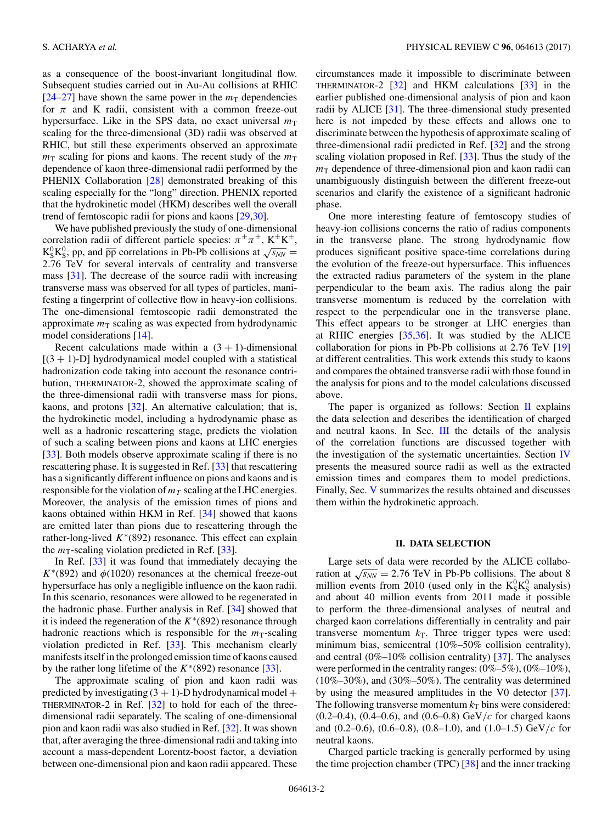as a consequence of the boost-invariant longitudinal flow. Subsequent studies carried out in Au-Au collisions at RHIC [\[24–27\]](#page-9-0) have shown the same power in the  $m<sub>T</sub>$  dependencies for  $\pi$  and K radii, consistent with a common freeze-out hypersurface. Like in the SPS data, no exact universal  $m<sub>T</sub>$ scaling for the three-dimensional (3D) radii was observed at RHIC, but still these experiments observed an approximate  $m<sub>T</sub>$  scaling for pions and kaons. The recent study of the  $m<sub>T</sub>$ dependence of kaon three-dimensional radii performed by the PHENIX Collaboration [\[28\]](#page-9-0) demonstrated breaking of this scaling especially for the "long" direction. PHENIX reported that the hydrokinetic model (HKM) describes well the overall trend of femtoscopic radii for pions and kaons [\[29,30\]](#page-9-0).

We have published previously the study of one-dimensional correlation radii of different particle species:  $\pi^{\pm} \pi^{\pm}$ , K<sup> $\pm$ </sup>K<sup> $\pm$ </sup>,  $K_S^0 K_S^0$ , pp, and  $\overline{pp}$  correlations in Pb-Pb collisions at  $\sqrt{s_{NN}}$  = 2.76 TeV for several intervals of centrality and transverse mass [\[31\]](#page-9-0). The decrease of the source radii with increasing transverse mass was observed for all types of particles, manifesting a fingerprint of collective flow in heavy-ion collisions. The one-dimensional femtoscopic radii demonstrated the approximate  $m<sub>T</sub>$  scaling as was expected from hydrodynamic model considerations [\[14\]](#page-9-0).

Recent calculations made within a  $(3 + 1)$ -dimensional  $[(3 + 1)-D]$  hydrodynamical model coupled with a statistical hadronization code taking into account the resonance contribution, THERMINATOR-2, showed the approximate scaling of the three-dimensional radii with transverse mass for pions, kaons, and protons  $[32]$ . An alternative calculation; that is, the hydrokinetic model, including a hydrodynamic phase as well as a hadronic rescattering stage, predicts the violation of such a scaling between pions and kaons at LHC energies [\[33\]](#page-9-0). Both models observe approximate scaling if there is no rescattering phase. It is suggested in Ref. [\[33\]](#page-9-0) that rescattering has a significantly different influence on pions and kaons and is responsible for the violation of  $m<sub>T</sub>$  scaling at the LHC energies. Moreover, the analysis of the emission times of pions and kaons obtained within HKM in Ref. [\[34\]](#page-9-0) showed that kaons are emitted later than pions due to rescattering through the rather-long-lived  $K^*(892)$  resonance. This effect can explain the  $m<sub>T</sub>$ -scaling violation predicted in Ref. [\[33\]](#page-9-0).

In Ref. [\[33\]](#page-9-0) it was found that immediately decaying the  $K^*(892)$  and  $\phi(1020)$  resonances at the chemical freeze-out hypersurface has only a negligible influence on the kaon radii. In this scenario, resonances were allowed to be regenerated in the hadronic phase. Further analysis in Ref. [\[34\]](#page-9-0) showed that it is indeed the regeneration of the  $K<sup>*</sup>(892)$  resonance through hadronic reactions which is responsible for the  $m<sub>T</sub>$ -scaling violation predicted in Ref. [\[33\]](#page-9-0). This mechanism clearly manifests itself in the prolonged emission time of kaons caused by the rather long lifetime of the  $K^*(892)$  resonance [\[33\]](#page-9-0).

The approximate scaling of pion and kaon radii was predicted by investigating  $(3 + 1)$ -D hydrodynamical model + THERMINATOR-2 in Ref.  $[32]$  to hold for each of the threedimensional radii separately. The scaling of one-dimensional pion and kaon radii was also studied in Ref. [\[32\]](#page-9-0). It was shown that, after averaging the three-dimensional radii and taking into account a mass-dependent Lorentz-boost factor, a deviation between one-dimensional pion and kaon radii appeared. These circumstances made it impossible to discriminate between THERMINATOR-2 [\[32\]](#page-9-0) and HKM calculations [\[33\]](#page-9-0) in the earlier published one-dimensional analysis of pion and kaon radii by ALICE [\[31\]](#page-9-0). The three-dimensional study presented here is not impeded by these effects and allows one to discriminate between the hypothesis of approximate scaling of three-dimensional radii predicted in Ref. [\[32\]](#page-9-0) and the strong scaling violation proposed in Ref. [\[33\]](#page-9-0). Thus the study of the  $m<sub>T</sub>$  dependence of three-dimensional pion and kaon radii can unambiguously distinguish between the different freeze-out scenarios and clarify the existence of a significant hadronic phase.

One more interesting feature of femtoscopy studies of heavy-ion collisions concerns the ratio of radius components in the transverse plane. The strong hydrodynamic flow produces significant positive space-time correlations during the evolution of the freeze-out hypersurface. This influences the extracted radius parameters of the system in the plane perpendicular to the beam axis. The radius along the pair transverse momentum is reduced by the correlation with respect to the perpendicular one in the transverse plane. This effect appears to be stronger at LHC energies than at RHIC energies [\[35,36\]](#page-9-0). It was studied by the ALICE collaboration for pions in Pb-Pb collisions at 2.76 TeV [\[19\]](#page-9-0) at different centralities. This work extends this study to kaons and compares the obtained transverse radii with those found in the analysis for pions and to the model calculations discussed above.

The paper is organized as follows: Section  $\mathbf{II}$  explains the data selection and describes the identification of charged and neutral kaons. In Sec. [III](#page-3-0) the details of the analysis of the correlation functions are discussed together with the investigation of the systematic uncertainties. Section [IV](#page-5-0) presents the measured source radii as well as the extracted emission times and compares them to model predictions. Finally, Sec. [V](#page-7-0) summarizes the results obtained and discusses them within the hydrokinetic approach.

# **II. DATA SELECTION**

Large sets of data were recorded by the ALICE collaboration at  $\sqrt{s_{NN}}$  = 2.76 TeV in Pb-Pb collisions. The about 8 million events from 2010 (used only in the  $K_S^0K_S^0$  analysis) and about 40 million events from 2011 made it possible to perform the three-dimensional analyses of neutral and charged kaon correlations differentially in centrality and pair transverse momentum  $k<sub>T</sub>$ . Three trigger types were used: minimum bias, semicentral (10%–50% collision centrality), and central  $(0\% - 10\%$  collision centrality) [\[37\]](#page-9-0). The analyses were performed in the centrality ranges:  $(0\% - 5\%)$ ,  $(0\% - 10\%)$ , (10%–30%), and (30%–50%). The centrality was determined by using the measured amplitudes in the V0 detector [\[37\]](#page-9-0). The following transverse momentum  $k<sub>T</sub>$  bins were considered:  $(0.2-0.4)$ ,  $(0.4-0.6)$ , and  $(0.6-0.8)$  GeV/c for charged kaons and  $(0.2-0.6)$ ,  $(0.6-0.8)$ ,  $(0.8-1.0)$ , and  $(1.0-1.5)$  GeV/c for neutral kaons.

Charged particle tracking is generally performed by using the time projection chamber (TPC) [\[38\]](#page-9-0) and the inner tracking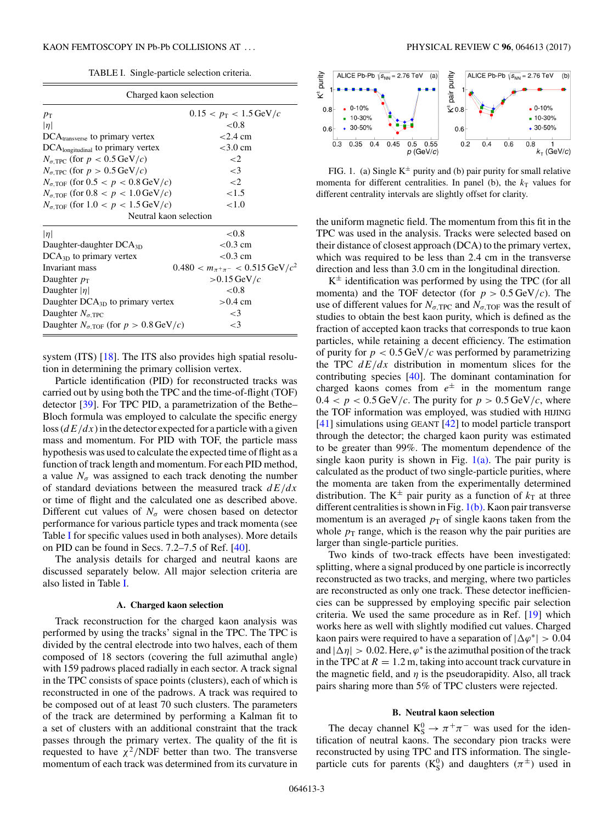TABLE I. Single-particle selection criteria.

<span id="page-2-0"></span>

| Charged kaon selection                                         |                                                   |  |  |  |
|----------------------------------------------------------------|---------------------------------------------------|--|--|--|
| $p_{\rm T}$                                                    | $0.15 < p_T < 1.5 \,\text{GeV}/c$                 |  |  |  |
| $ \eta $                                                       | ${<}0.8$                                          |  |  |  |
| $DCAtransverse$ to primary vertex                              | $<$ 2.4 cm                                        |  |  |  |
| DCAlongitudinal to primary vertex                              | $<$ 3.0 cm                                        |  |  |  |
| $N_{\sigma, \text{TPC}}$ (for $p < 0.5 \,\text{GeV}/c$ )       | $\leq$ 2                                          |  |  |  |
| $N_{\sigma, \text{TPC}}$ (for $p > 0.5 \,\text{GeV}/c$ )       | $\leq$ 3                                          |  |  |  |
| $N_{\sigma,TOF}$ (for $0.5 < p < 0.8$ GeV/c)                   | $\langle$                                         |  |  |  |
| $N_{\sigma, \text{TOF}}$ (for $0.8 < p < 1.0 \,\text{GeV}/c$ ) | ${<}1.5$                                          |  |  |  |
| $N_{\sigma,TOF}$ (for $1.0 < p < 1.5$ GeV/c)                   | ${<}1.0$                                          |  |  |  |
| Neutral kaon selection                                         |                                                   |  |  |  |
| $ \eta $                                                       | ${<}0.8$                                          |  |  |  |
| Daughter-daughter $DCA3D$                                      | $< 0.3$ cm                                        |  |  |  |
| $DCA3D$ to primary vertex                                      | $< 0.3$ cm                                        |  |  |  |
| Invariant mass                                                 | $0.480 < m_{\pi^+\pi^-} < 0.515 \,\text{GeV}/c^2$ |  |  |  |
| Daughter $p_T$                                                 | $>0.15 \,\mathrm{GeV}/c$                          |  |  |  |
| Daughter $ \eta $                                              | ${<}0.8$                                          |  |  |  |
| Daughter $DCA_{3D}$ to primary vertex                          | $>0.4$ cm                                         |  |  |  |
| Daughter $N_{\sigma, \text{TPC}}$                              | $\leq$ 3                                          |  |  |  |
| Daughter $N_{\sigma,TOF}$ (for $p > 0.8 \,\text{GeV}/c$ )      | $\leq$ 3                                          |  |  |  |

system (ITS) [\[18\]](#page-9-0). The ITS also provides high spatial resolution in determining the primary collision vertex.

Particle identification (PID) for reconstructed tracks was carried out by using both the TPC and the time-of-flight (TOF) detector [\[39\]](#page-9-0). For TPC PID, a parametrization of the Bethe– Bloch formula was employed to calculate the specific energy  $\cos(dE/dx)$  in the detector expected for a particle with a given mass and momentum. For PID with TOF, the particle mass hypothesis was used to calculate the expected time of flight as a function of track length and momentum. For each PID method, a value  $N_{\sigma}$  was assigned to each track denoting the number of standard deviations between the measured track  $dE/dx$ or time of flight and the calculated one as described above. Different cut values of  $N_{\sigma}$  were chosen based on detector performance for various particle types and track momenta (see Table I for specific values used in both analyses). More details on PID can be found in Secs. 7.2–7.5 of Ref. [\[40\]](#page-9-0).

The analysis details for charged and neutral kaons are discussed separately below. All major selection criteria are also listed in Table I.

### **A. Charged kaon selection**

Track reconstruction for the charged kaon analysis was performed by using the tracks' signal in the TPC. The TPC is divided by the central electrode into two halves, each of them composed of 18 sectors (covering the full azimuthal angle) with 159 padrows placed radially in each sector. A track signal in the TPC consists of space points (clusters), each of which is reconstructed in one of the padrows. A track was required to be composed out of at least 70 such clusters. The parameters of the track are determined by performing a Kalman fit to a set of clusters with an additional constraint that the track passes through the primary vertex. The quality of the fit is requested to have  $\chi^2/NDF$  better than two. The transverse momentum of each track was determined from its curvature in



FIG. 1. (a) Single  $K^{\pm}$  purity and (b) pair purity for small relative momenta for different centralities. In panel (b), the  $k_T$  values for different centrality intervals are slightly offset for clarity.

the uniform magnetic field. The momentum from this fit in the TPC was used in the analysis. Tracks were selected based on their distance of closest approach (DCA) to the primary vertex, which was required to be less than 2.4 cm in the transverse direction and less than 3.0 cm in the longitudinal direction.

 $K^{\pm}$  identification was performed by using the TPC (for all momenta) and the TOF detector (for  $p > 0.5 \text{ GeV}/c$ ). The use of different values for  $N_{\sigma, \text{TPC}}$  and  $N_{\sigma, \text{TOF}}$  was the result of studies to obtain the best kaon purity, which is defined as the fraction of accepted kaon tracks that corresponds to true kaon particles, while retaining a decent efficiency. The estimation of purity for  $p < 0.5$  GeV/c was performed by parametrizing the TPC  $dE/dx$  distribution in momentum slices for the contributing species [\[40\]](#page-9-0). The dominant contamination for charged kaons comes from  $e^{\pm}$  in the momentum range  $0.4 < p < 0.5$  GeV/c. The purity for  $p > 0.5$  GeV/c, where the TOF information was employed, was studied with HIJING [\[41\]](#page-9-0) simulations using GEANT [\[42\]](#page-10-0) to model particle transport through the detector; the charged kaon purity was estimated to be greater than 99%. The momentum dependence of the single kaon purity is shown in Fig.  $1(a)$ . The pair purity is calculated as the product of two single-particle purities, where the momenta are taken from the experimentally determined distribution. The  $K^{\pm}$  pair purity as a function of  $k_T$  at three different centralities is shown in Fig.  $1(b)$ . Kaon pair transverse momentum is an averaged  $p<sub>T</sub>$  of single kaons taken from the whole  $p_T$  range, which is the reason why the pair purities are larger than single-particle purities.

Two kinds of two-track effects have been investigated: splitting, where a signal produced by one particle is incorrectly reconstructed as two tracks, and merging, where two particles are reconstructed as only one track. These detector inefficiencies can be suppressed by employing specific pair selection criteria. We used the same procedure as in Ref. [\[19\]](#page-9-0) which works here as well with slightly modified cut values. Charged kaon pairs were required to have a separation of  $|\Delta \varphi^*| > 0.04$ and  $|\Delta \eta| > 0.02$ . Here,  $\varphi^*$  is the azimuthal position of the track in the TPC at  $R = 1.2$  m, taking into account track curvature in the magnetic field, and  $\eta$  is the pseudorapidity. Also, all track pairs sharing more than 5% of TPC clusters were rejected.

#### **B. Neutral kaon selection**

The decay channel  $K_S^0 \rightarrow \pi^+\pi^-$  was used for the identification of neutral kaons. The secondary pion tracks were reconstructed by using TPC and ITS information. The singleparticle cuts for parents  $(K<sub>S</sub><sup>0</sup>)$  and daughters  $(\pi^{\pm})$  used in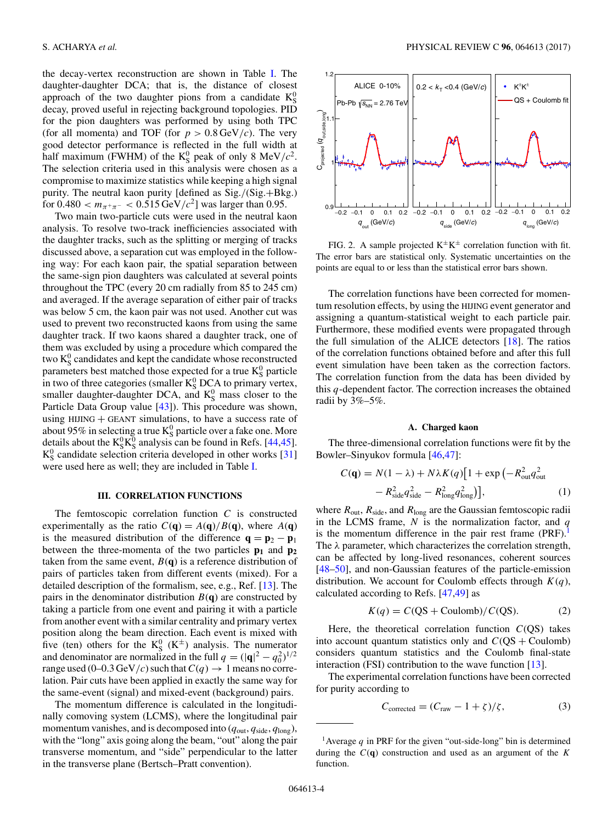<span id="page-3-0"></span>the decay-vertex reconstruction are shown in Table [I.](#page-2-0) The daughter-daughter DCA; that is, the distance of closest approach of the two daughter pions from a candidate  $K_S^0$ decay, proved useful in rejecting background topologies. PID for the pion daughters was performed by using both TPC (for all momenta) and TOF (for  $p > 0.8 \,\text{GeV}/c$ ). The very good detector performance is reflected in the full width at half maximum (FWHM) of the  $K_S^0$  peak of only 8 MeV/ $c^2$ . The selection criteria used in this analysis were chosen as a compromise to maximize statistics while keeping a high signal purity. The neutral kaon purity [defined as Sig./(Sig.+Bkg.) for 0.480 <  $m_{\pi^+\pi^-}$  < 0.515 GeV/ $c^2$ ] was larger than 0.95.

Two main two-particle cuts were used in the neutral kaon analysis. To resolve two-track inefficiencies associated with the daughter tracks, such as the splitting or merging of tracks discussed above, a separation cut was employed in the following way: For each kaon pair, the spatial separation between the same-sign pion daughters was calculated at several points throughout the TPC (every 20 cm radially from 85 to 245 cm) and averaged. If the average separation of either pair of tracks was below 5 cm, the kaon pair was not used. Another cut was used to prevent two reconstructed kaons from using the same daughter track. If two kaons shared a daughter track, one of them was excluded by using a procedure which compared the two  $K_S^0$  candidates and kept the candidate whose reconstructed parameters best matched those expected for a true  $K_S^0$  particle in two of three categories (smaller  $K_S^0$  DCA to primary vertex, smaller daughter-daughter DCA, and  $K_S^0$  mass closer to the Particle Data Group value [\[43\]](#page-10-0)). This procedure was shown, using  $HJIING + GEANT$  simulations, to have a success rate of about 95% in selecting a true  $K^0_S$  particle over a fake one. More details about the  $K_S^0 K_S^0$  analysis can be found in Refs. [\[44,45\]](#page-10-0).  $K_S^0$  candidate selection criteria developed in other works [\[31\]](#page-9-0) were used here as well; they are included in Table [I.](#page-2-0)

## **III. CORRELATION FUNCTIONS**

The femtoscopic correlation function  $C$  is constructed experimentally as the ratio  $C(\mathbf{q}) = A(\mathbf{q})/B(\mathbf{q})$ , where  $A(\mathbf{q})$ is the measured distribution of the difference  $\mathbf{q} = \mathbf{p}_2 - \mathbf{p}_1$ between the three-momenta of the two particles  $p_1$  and  $p_2$ taken from the same event,  $B(q)$  is a reference distribution of pairs of particles taken from different events (mixed). For a detailed description of the formalism, see, e.g., Ref. [\[13\]](#page-9-0). The pairs in the denominator distribution  $B(q)$  are constructed by taking a particle from one event and pairing it with a particle from another event with a similar centrality and primary vertex position along the beam direction. Each event is mixed with five (ten) others for the  $K_S^0$  ( $K^{\pm}$ ) analysis. The numerator and denominator are normalized in the full  $q = (|\mathbf{q}|^2 - q_0^2)^{1/2}$ range used (0–0.3 GeV/c) such that  $C(q) \rightarrow 1$  means no correlation. Pair cuts have been applied in exactly the same way for the same-event (signal) and mixed-event (background) pairs.

The momentum difference is calculated in the longitudinally comoving system (LCMS), where the longitudinal pair momentum vanishes, and is decomposed into  $(q_{\text{out}}, q_{\text{side}}, q_{\text{long}})$ , with the "long" axis going along the beam, "out" along the pair transverse momentum, and "side" perpendicular to the latter in the transverse plane (Bertsch–Pratt convention).



FIG. 2. A sample projected  $K^{\pm}K^{\pm}$  correlation function with fit. The error bars are statistical only. Systematic uncertainties on the points are equal to or less than the statistical error bars shown.

The correlation functions have been corrected for momentum resolution effects, by using the HIJING event generator and assigning a quantum-statistical weight to each particle pair. Furthermore, these modified events were propagated through the full simulation of the ALICE detectors [\[18\]](#page-9-0). The ratios of the correlation functions obtained before and after this full event simulation have been taken as the correction factors. The correlation function from the data has been divided by this  $q$ -dependent factor. The correction increases the obtained radii by 3%–5%.

### **A. Charged kaon**

The three-dimensional correlation functions were fit by the Bowler–Sinyukov formula [\[46,47\]](#page-10-0):

$$
C(\mathbf{q}) = N(1 - \lambda) + N\lambda K(q) \left[ 1 + \exp\left( -R_{\text{out}}^2 q_{\text{out}}^2 - R_{\text{side}}^2 q_{\text{side}}^2 - R_{\text{long}}^2 q_{\text{long}}^2 \right) \right],
$$
 (1)

where  $R_{\text{out}}$ ,  $R_{\text{side}}$ , and  $R_{\text{long}}$  are the Gaussian femtoscopic radii in the LCMS frame,  $N$  is the normalization factor, and  $q$ is the momentum difference in the pair rest frame  $(PRF)$ . The  $\lambda$  parameter, which characterizes the correlation strength, can be affected by long-lived resonances, coherent sources [\[48–50\]](#page-10-0), and non-Gaussian features of the particle-emission distribution. We account for Coulomb effects through  $K(q)$ , calculated according to Refs. [\[47,49\]](#page-10-0) as

$$
K(q) = C(QS + Coulomb)/C(QS).
$$
 (2)

Here, the theoretical correlation function  $C(QS)$  takes into account quantum statistics only and  $C(QS + Coulomb)$ considers quantum statistics and the Coulomb final-state interaction (FSI) contribution to the wave function [\[13\]](#page-9-0).

The experimental correlation functions have been corrected for purity according to

$$
C_{\text{corrected}} = (C_{\text{raw}} - 1 + \zeta) / \zeta, \tag{3}
$$

<sup>&</sup>lt;sup>1</sup> Average  $q$  in PRF for the given "out-side-long" bin is determined during the  $C(q)$  construction and used as an argument of the K function.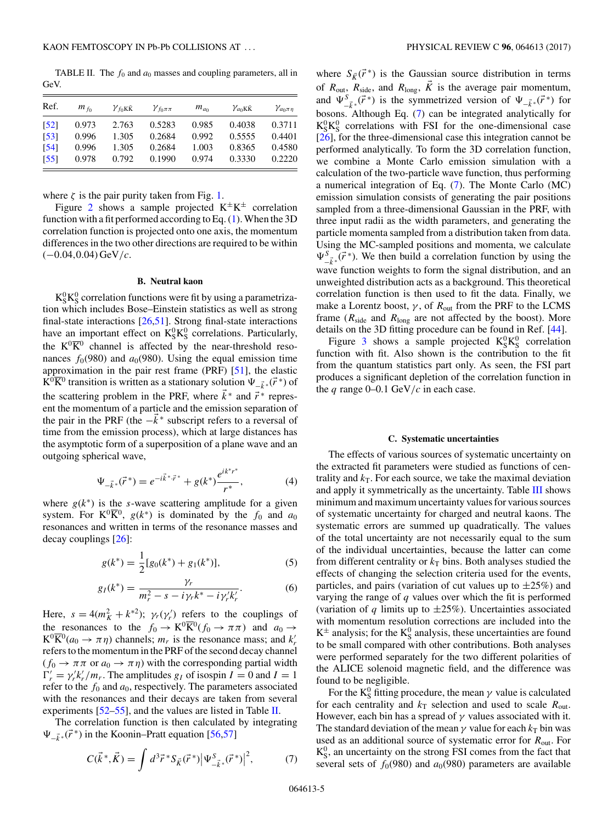TABLE II. The  $f_0$  and  $a_0$  masses and coupling parameters, all in GeV.

| Ref.              | $m_{f_0}$ | $\gamma_{f_0 K\bar K}$ | $\gamma_{f_0\pi\pi}$ | $m_{a}$ | $\gamma_{a_0\text{K}\bar{\text{K}}}$ | $\gamma_{a_0\pi\eta}$ |
|-------------------|-----------|------------------------|----------------------|---------|--------------------------------------|-----------------------|
| $\left[52\right]$ | 0.973     | 2.763                  | 0.5283               | 0.985   | 0.4038                               | 0.3711                |
| $\left[53\right]$ | 0.996     | 1.305                  | 0.2684               | 0.992   | 0.5555                               | 0.4401                |
| $\left[54\right]$ | 0.996     | 1.305                  | 0.2684               | 1.003   | 0.8365                               | 0.4580                |
| $\left[55\right]$ | 0.978     | 0.792                  | 0.1990               | 0.974   | 0.3330                               | 0.2220                |

where  $\zeta$  is the pair purity taken from Fig. [1.](#page-2-0)

Figure [2](#page-3-0) shows a sample projected  $K^{\pm}K^{\pm}$  correlation function with a fit performed according to Eq.  $(1)$ . When the 3D correlation function is projected onto one axis, the momentum differences in the two other directions are required to be within  $(-0.04, 0.04)$  GeV/c.

#### **B. Neutral kaon**

 $K^0_S K^0_S$  correlation functions were fit by using a parametrization which includes Bose–Einstein statistics as well as strong final-state interactions [\[26](#page-9-0)[,51\]](#page-10-0). Strong final-state interactions have an important effect on  $K_S^0 K_S^0$  correlations. Particularly, the  $K^0\overline{K}^0$  channel is affected by the near-threshold resonances  $f_0(980)$  and  $a_0(980)$ . Using the equal emission time approximation in the pair rest frame (PRF) [\[51\]](#page-10-0), the elastic  $K^0\overline{K}{}^0$  transition is written as a stationary solution  $\Psi_{-\vec{k} *}(\vec{r}^*)$  of the scattering problem in the PRF, where  $\vec{k}^*$  and  $\vec{r}^*$  represent the momentum of a particle and the emission separation of the pair in the PRF (the  $-\vec{k}^*$  subscript refers to a reversal of time from the emission process), which at large distances has the asymptotic form of a superposition of a plane wave and an outgoing spherical wave,

$$
\Psi_{-\vec{k}\,*}(\vec{r}\,^*) = e^{-i\vec{k}\,*\cdot\vec{r}\,*} + g(k^*)\frac{e^{ik^*r^*}}{r^*},\tag{4}
$$

where  $g(k^*)$  is the s-wave scattering amplitude for a given system. For  $K^0\overline{K}^0$ ,  $g(k^*)$  is dominated by the  $f_0$  and  $a_0$ resonances and written in terms of the resonance masses and decay couplings [\[26\]](#page-9-0):

$$
g(k^*) = \frac{1}{2} [g_0(k^*) + g_1(k^*)],\tag{5}
$$

$$
g_I(k^*) = \frac{\gamma_r}{m_r^2 - s - i\gamma_r k^* - i\gamma_r' k'_r}.
$$
 (6)

Here,  $s = 4(m_K^2 + k^{*2})$ ;  $\gamma_r(\gamma_r')$  refers to the couplings of the resonances to the  $f_0 \to K^0 \overline{K}^0 (f_0 \to \pi \pi)$  and  $a_0 \to$  $K^0\overline{K}^0(a_0 \to \pi \eta)$  channels;  $m_r$  is the resonance mass; and  $k'_r$ refers to the momentum in the PRF of the second decay channel  $(f_0 \to \pi\pi$  or  $a_0 \to \pi\eta$ ) with the corresponding partial width  $\Gamma'_r = \gamma'_r k'_r / m_r$ . The amplitudes  $g_I$  of isospin  $I = 0$  and  $I = 1$ refer to the  $f_0$  and  $a_0$ , respectively. The parameters associated with the resonances and their decays are taken from several experiments  $[52-55]$ , and the values are listed in Table II.

The correlation function is then calculated by integrating  $\Psi_{-\vec{k} *}(\vec{r}^*)$  in the Koonin–Pratt equation [\[56,57\]](#page-10-0)

$$
C(\vec{k}^*, \vec{K}) = \int d^3 \vec{r}^* S_{\vec{K}}(\vec{r}^*) \left| \Psi^S_{-\vec{k}^*}(\vec{r}^*) \right|^2, \tag{7}
$$

where  $S_{\vec{K}}(\vec{r}^*)$  is the Gaussian source distribution in terms of  $R_{\text{out}}$ ,  $R_{\text{side}}$ , and  $R_{\text{long}}$ ,  $\vec{K}$  is the average pair momentum, and  $\Psi_{-\vec{k}}^s(\vec{r}^*)$  is the symmetrized version of  $\Psi_{-\vec{k}}^s(\vec{r}^*)$  for bosons. Although Eq. (7) can be integrated analytically for  $K_S^0 K_S^0$  correlations with FSI for the one-dimensional case [\[26\]](#page-9-0), for the three-dimensional case this integration cannot be performed analytically. To form the 3D correlation function, we combine a Monte Carlo emission simulation with a calculation of the two-particle wave function, thus performing a numerical integration of Eq. (7). The Monte Carlo (MC) emission simulation consists of generating the pair positions sampled from a three-dimensional Gaussian in the PRF, with three input radii as the width parameters, and generating the particle momenta sampled from a distribution taken from data. Using the MC-sampled positions and momenta, we calculate  $\Psi_{-\vec{k}}^S(\vec{r}^*)$ . We then build a correlation function by using the wave function weights to form the signal distribution, and an unweighted distribution acts as a background. This theoretical correlation function is then used to fit the data. Finally, we make a Lorentz boost,  $\gamma$ , of  $R_{out}$  from the PRF to the LCMS frame ( $R_{\text{side}}$  and  $R_{\text{long}}$  are not affected by the boost). More details on the 3D fitting procedure can be found in Ref. [\[44\]](#page-10-0).

Figure [3](#page-5-0) shows a sample projected  $K_S^0 K_S^0$  correlation function with fit. Also shown is the contribution to the fit from the quantum statistics part only. As seen, the FSI part produces a significant depletion of the correlation function in the q range 0–0.1 GeV/c in each case.

# **C. Systematic uncertainties**

The effects of various sources of systematic uncertainty on the extracted fit parameters were studied as functions of centrality and  $k_T$ . For each source, we take the maximal deviation and apply it symmetrically as the uncertainty. Table [III](#page-5-0) shows minimum and maximum uncertainty values for various sources of systematic uncertainty for charged and neutral kaons. The systematic errors are summed up quadratically. The values of the total uncertainty are not necessarily equal to the sum of the individual uncertainties, because the latter can come from different centrality or  $k<sub>T</sub>$  bins. Both analyses studied the effects of changing the selection criteria used for the events, particles, and pairs (variation of cut values up to  $\pm 25\%$ ) and varying the range of  $q$  values over which the fit is performed (variation of q limits up to  $\pm 25\%$ ). Uncertainties associated with momentum resolution corrections are included into the  $K^{\pm}$  analysis; for the  $K_S^0$  analysis, these uncertainties are found to be small compared with other contributions. Both analyses were performed separately for the two different polarities of the ALICE solenoid magnetic field, and the difference was found to be negligible.

For the  $K_S^0$  fitting procedure, the mean  $\gamma$  value is calculated for each centrality and  $k_T$  selection and used to scale  $R_{\text{out}}$ . However, each bin has a spread of  $\gamma$  values associated with it. The standard deviation of the mean  $\gamma$  value for each  $k_T$  bin was used as an additional source of systematic error for  $R_{\text{out}}$ . For  $K_S^0$ , an uncertainty on the strong FSI comes from the fact that several sets of  $f_0(980)$  and  $a_0(980)$  parameters are available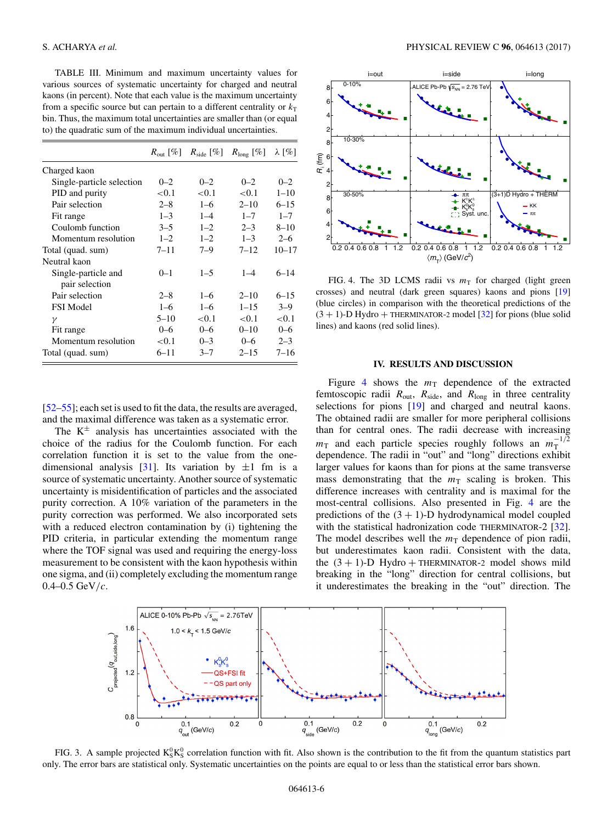<span id="page-5-0"></span>TABLE III. Minimum and maximum uncertainty values for various sources of systematic uncertainty for charged and neutral kaons (in percent). Note that each value is the maximum uncertainty from a specific source but can pertain to a different centrality or  $k_T$ bin. Thus, the maximum total uncertainties are smaller than (or equal to) the quadratic sum of the maximum individual uncertainties.

|                                       |          | $R_{\text{out}} [\%]$ $R_{\text{side}} [\%]$ | $R_{\text{long}} [\%]$ | $\lambda$ [%] |
|---------------------------------------|----------|----------------------------------------------|------------------------|---------------|
| Charged kaon                          |          |                                              |                        |               |
| Single-particle selection             | $0 - 2$  | $0 - 2$                                      | $0 - 2$                | $0 - 2$       |
| PID and purity                        | ${<}0.1$ | ${<}0.1$                                     | ${<}0.1$               | $1 - 10$      |
| Pair selection                        | $2 - 8$  | $1 - 6$                                      | $2 - 10$               | $6 - 15$      |
| Fit range                             | $1 - 3$  | $1 - 4$                                      | $1 - 7$                | $1 - 7$       |
| Coulomb function                      | $3 - 5$  | $1 - 2$                                      | $2 - 3$                | $8 - 10$      |
| Momentum resolution                   | $1 - 2$  | $1 - 2$                                      | $1 - 3$                | $2 - 6$       |
| Total (quad. sum)                     | $7 - 11$ | $7 - 9$                                      | $7 - 12$               | $10 - 17$     |
| Neutral kaon                          |          |                                              |                        |               |
| Single-particle and<br>pair selection | $0 - 1$  | $1 - 5$                                      | $1 - 4$                | $6 - 14$      |
| Pair selection                        | $2 - 8$  | $1 - 6$                                      | $2 - 10$               | $6 - 15$      |
| <b>FSI</b> Model                      | $1 - 6$  | $1 - 6$                                      | $1 - 15$               | $3 - 9$       |
| $\mathcal V$                          | $5 - 10$ | ${<}0.1$                                     | ${<}0.1$               | < 0.1         |
| Fit range                             | $0 - 6$  | $0 - 6$                                      | $0 - 10$               | $0 - 6$       |
| Momentum resolution                   | ${<}0.1$ | $0 - 3$                                      | $0 - 6$                | $2 - 3$       |
| Total (quad. sum)                     | $6 - 11$ | $3 - 7$                                      | $2 - 15$               | $7 - 16$      |

[\[52–55\]](#page-10-0); each set is used to fit the data, the results are averaged, and the maximal difference was taken as a systematic error.

The  $K^{\pm}$  analysis has uncertainties associated with the choice of the radius for the Coulomb function. For each correlation function it is set to the value from the one-dimensional analysis [\[31\]](#page-9-0). Its variation by  $\pm 1$  fm is a source of systematic uncertainty. Another source of systematic uncertainty is misidentification of particles and the associated purity correction. A 10% variation of the parameters in the purity correction was performed. We also incorporated sets with a reduced electron contamination by (i) tightening the PID criteria, in particular extending the momentum range where the TOF signal was used and requiring the energy-loss measurement to be consistent with the kaon hypothesis within one sigma, and (ii) completely excluding the momentum range  $0.4 - 0.5$  GeV/c.



FIG. 4. The 3D LCMS radii vs  $m<sub>T</sub>$  for charged (light green crosses) and neutral (dark green squares) kaons and pions [\[19\]](#page-9-0) (blue circles) in comparison with the theoretical predictions of the  $(3 + 1)$ -D Hydro + THERMINATOR-2 model [\[32\]](#page-9-0) for pions (blue solid lines) and kaons (red solid lines).

## **IV. RESULTS AND DISCUSSION**

Figure 4 shows the  $m<sub>T</sub>$  dependence of the extracted femtoscopic radii  $R_{\text{out}}$ ,  $R_{\text{side}}$ , and  $R_{\text{long}}$  in three centrality selections for pions [\[19\]](#page-9-0) and charged and neutral kaons. The obtained radii are smaller for more peripheral collisions than for central ones. The radii decrease with increasing  $m_T$  and each particle species roughly follows an  $m_T^{-1/2}$ dependence. The radii in "out" and "long" directions exhibit larger values for kaons than for pions at the same transverse mass demonstrating that the  $m<sub>T</sub>$  scaling is broken. This difference increases with centrality and is maximal for the most-central collisions. Also presented in Fig. 4 are the predictions of the  $(3 + 1)$ -D hydrodynamical model coupled with the statistical hadronization code THERMINATOR-2 [\[32\]](#page-9-0). The model describes well the  $m<sub>T</sub>$  dependence of pion radii, but underestimates kaon radii. Consistent with the data, the  $(3 + 1)$ -D Hydro + THERMINATOR-2 model shows mild breaking in the "long" direction for central collisions, but it underestimates the breaking in the "out" direction. The



FIG. 3. A sample projected  $K_S^0 K_S^0$  correlation function with fit. Also shown is the contribution to the fit from the quantum statistics part only. The error bars are statistical only. Systematic uncertainties on the points are equal to or less than the statistical error bars shown.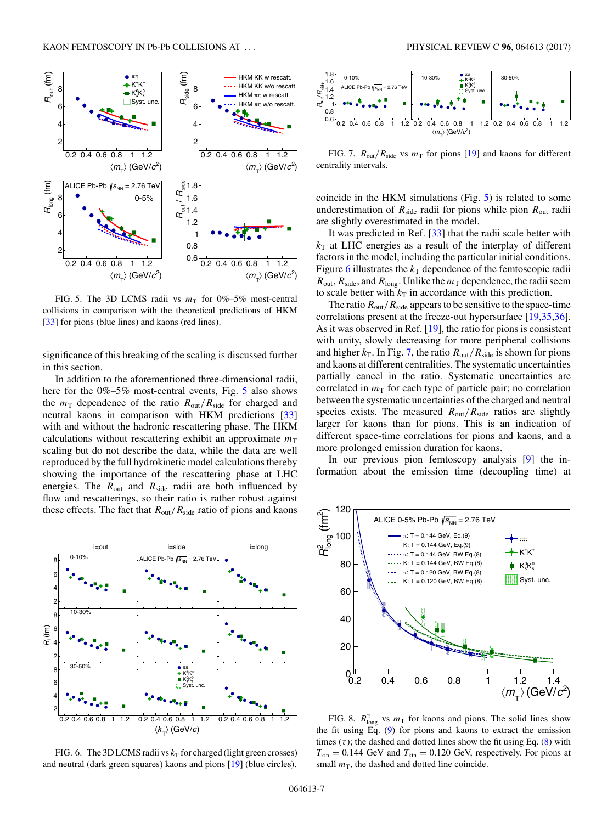<span id="page-6-0"></span>

FIG. 5. The 3D LCMS radii vs  $m<sub>T</sub>$  for 0%–5% most-central collisions in comparison with the theoretical predictions of HKM [\[33\]](#page-9-0) for pions (blue lines) and kaons (red lines).

significance of this breaking of the scaling is discussed further in this section.

In addition to the aforementioned three-dimensional radii, here for the 0%–5% most-central events, Fig. 5 also shows the  $m<sub>T</sub>$  dependence of the ratio  $R<sub>out</sub>/R<sub>side</sub>$  for charged and neutral kaons in comparison with HKM predictions [\[33\]](#page-9-0) with and without the hadronic rescattering phase. The HKM calculations without rescattering exhibit an approximate  $m<sub>T</sub>$ scaling but do not describe the data, while the data are well reproduced by the full hydrokinetic model calculations thereby showing the importance of the rescattering phase at LHC energies. The  $R_{\text{out}}$  and  $R_{\text{side}}$  radii are both influenced by flow and rescatterings, so their ratio is rather robust against these effects. The fact that  $R_{\text{out}}/R_{\text{side}}$  ratio of pions and kaons



FIG. 6. The 3D LCMS radii vs  $k_T$  for charged (light green crosses) and neutral (dark green squares) kaons and pions [\[19\]](#page-9-0) (blue circles).



FIG. 7.  $R_{\text{out}}/R_{\text{side}}$  vs  $m<sub>T</sub>$  for pions [\[19\]](#page-9-0) and kaons for different centrality intervals.

coincide in the HKM simulations (Fig. 5) is related to some underestimation of  $R_{side}$  radii for pions while pion  $R_{out}$  radii are slightly overestimated in the model.

It was predicted in Ref. [\[33\]](#page-9-0) that the radii scale better with  $k<sub>T</sub>$  at LHC energies as a result of the interplay of different factors in the model, including the particular initial conditions. Figure 6 illustrates the  $k<sub>T</sub>$  dependence of the femtoscopic radii  $R_{\text{out}}$ ,  $R_{\text{side}}$ , and  $R_{\text{long}}$ . Unlike the  $m<sub>T</sub>$  dependence, the radii seem to scale better with  $k<sub>T</sub>$  in accordance with this prediction.

The ratio  $R_{\text{out}}/R_{\text{side}}$  appears to be sensitive to the space-time correlations present at the freeze-out hypersurface [\[19,35,36\]](#page-9-0). As it was observed in Ref. [\[19\]](#page-9-0), the ratio for pions is consistent with unity, slowly decreasing for more peripheral collisions and higher  $k_T$ . In Fig. 7, the ratio  $R_{out}/R_{side}$  is shown for pions and kaons at different centralities. The systematic uncertainties partially cancel in the ratio. Systematic uncertainties are correlated in  $m<sub>T</sub>$  for each type of particle pair; no correlation between the systematic uncertainties of the charged and neutral species exists. The measured  $R_{\text{out}}/R_{\text{side}}$  ratios are slightly larger for kaons than for pions. This is an indication of different space-time correlations for pions and kaons, and a more prolonged emission duration for kaons.

In our previous pion femtoscopy analysis [\[9\]](#page-9-0) the information about the emission time (decoupling time) at



FIG. 8.  $R_{\text{long}}^2$  vs  $m<sub>T</sub>$  for kaons and pions. The solid lines show the fit using Eq. [\(9\)](#page-7-0) for pions and kaons to extract the emission times  $(\tau)$ ; the dashed and dotted lines show the fit using Eq. [\(8\)](#page-7-0) with  $T_{\text{kin}} = 0.144 \text{ GeV}$  and  $T_{\text{kin}} = 0.120 \text{ GeV}$ , respectively. For pions at small  $m<sub>T</sub>$ , the dashed and dotted line coincide.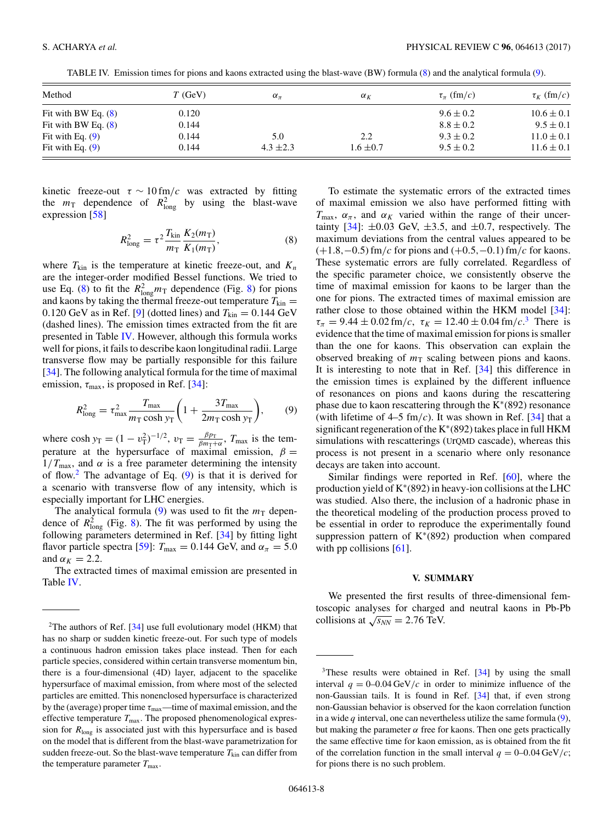| Method                | $T$ (GeV) | $\alpha_{\pi}$ | $\alpha_K$    | $\tau_{\pi}$ (fm/c) | $\tau_K$ (fm/c) |
|-----------------------|-----------|----------------|---------------|---------------------|-----------------|
| Fit with BW Eq. $(8)$ | 0.120     |                |               | $9.6 \pm 0.2$       | $10.6 \pm 0.1$  |
| Fit with BW Eq. $(8)$ | 0.144     |                |               | $8.8 \pm 0.2$       | $9.5 \pm 0.1$   |
| Fit with Eq. $(9)$    | 0.144     | 5.0            | 2.2           | $9.3 \pm 0.2$       | $11.0 \pm 0.1$  |
| Fit with Eq. $(9)$    | 0.144     | $4.3 \pm 2.3$  | $1.6 \pm 0.7$ | $9.5 \pm 0.2$       | $11.6 \pm 0.1$  |

<span id="page-7-0"></span>TABLE IV. Emission times for pions and kaons extracted using the blast-wave (BW) formula (8) and the analytical formula (9).

kinetic freeze-out  $\tau \sim 10$  fm/c was extracted by fitting the  $m<sub>T</sub>$  dependence of  $R<sub>long</sub><sup>2</sup>$  by using the blast-wave expression [\[58\]](#page-10-0)

$$
R_{\text{long}}^2 = \tau^2 \frac{T_{\text{kin}}}{m_{\text{T}}} \frac{K_2(m_{\text{T}})}{K_1(m_{\text{T}})},
$$
(8)

where  $T_{kin}$  is the temperature at kinetic freeze-out, and  $K_n$ are the integer-order modified Bessel functions. We tried to use Eq. ([8\)](#page-6-0) to fit the  $R_{\text{long}}^2 m_{\text{T}}$  dependence (Fig. 8) for pions and kaons by taking the thermal freeze-out temperature  $T_{kin} =$ 0.120 GeV as in Ref. [\[9\]](#page-9-0) (dotted lines) and  $T_{kin} = 0.144$  GeV (dashed lines). The emission times extracted from the fit are presented in Table IV. However, although this formula works well for pions, it fails to describe kaon longitudinal radii. Large transverse flow may be partially responsible for this failure [\[34\]](#page-9-0). The following analytical formula for the time of maximal emission,  $\tau_{\text{max}}$ , is proposed in Ref. [\[34\]](#page-9-0):

$$
R_{\text{long}}^2 = \tau_{\text{max}}^2 \frac{T_{\text{max}}}{m_\text{T} \cosh y_\text{T}} \bigg( 1 + \frac{3T_{\text{max}}}{2m_\text{T} \cosh y_\text{T}} \bigg), \qquad (9)
$$

where  $\cosh y_T = (1 - v_T^2)^{-1/2}$ ,  $v_T = \frac{\beta p_T}{\beta m_T + \alpha}$ ,  $T_{\text{max}}$  is the temperature at the hypersurface of maximal emission,  $\beta =$  $1/T_{\text{max}}$ , and  $\alpha$  is a free parameter determining the intensity of flow.<sup>2</sup> The advantage of Eq.  $(9)$  is that it is derived for a scenario with transverse flow of any intensity, which is especially important for LHC energies.

The analytical formula (9) was used to fit the  $m<sub>T</sub>$  dependence of  $R_{\text{long}}^2$  (Fig. [8\)](#page-6-0). The fit was performed by using the following parameters determined in Ref. [\[34\]](#page-9-0) by fitting light flavor particle spectra [\[59\]](#page-10-0):  $T_{\text{max}} = 0.144 \text{ GeV}$ , and  $\alpha_{\pi} = 5.0$ and  $\alpha_K = 2.2$ .

The extracted times of maximal emission are presented in Table IV.

To estimate the systematic errors of the extracted times of maximal emission we also have performed fitting with  $T_{\text{max}}$ ,  $\alpha_{\pi}$ , and  $\alpha_{K}$  varied within the range of their uncer-tainty [\[34\]](#page-9-0):  $\pm 0.03$  GeV,  $\pm 3.5$ , and  $\pm 0.7$ , respectively. The maximum deviations from the central values appeared to be  $(+1.8,-0.5)$  fm/c for pions and  $(+0.5,-0.1)$  fm/c for kaons. These systematic errors are fully correlated. Regardless of the specific parameter choice, we consistently observe the time of maximal emission for kaons to be larger than the one for pions. The extracted times of maximal emission are rather close to those obtained within the HKM model [\[34\]](#page-9-0):  $\tau_{\pi} = 9.44 \pm 0.02$  fm/c,  $\tau_K = 12.40 \pm 0.04$  fm/c.<sup>3</sup> There is evidence that the time of maximal emission for pions is smaller than the one for kaons. This observation can explain the observed breaking of  $m<sub>T</sub>$  scaling between pions and kaons. It is interesting to note that in Ref. [\[34\]](#page-9-0) this difference in the emission times is explained by the different influence of resonances on pions and kaons during the rescattering phase due to kaon rescattering through the  $K^*(892)$  resonance (with lifetime of 4–5 fm/c). It was shown in Ref. [\[34\]](#page-9-0) that a significant regeneration of the K∗(892) takes place in full HKM simulations with rescatterings (UrQMD cascade), whereas this process is not present in a scenario where only resonance decays are taken into account.

Similar findings were reported in Ref. [\[60\]](#page-10-0), where the production yield of  $K<sup>*</sup>(892)$  in heavy-ion collisions at the LHC was studied. Also there, the inclusion of a hadronic phase in the theoretical modeling of the production process proved to be essential in order to reproduce the experimentally found suppression pattern of K∗(892) production when compared with pp collisions [\[61\]](#page-10-0).

#### **V. SUMMARY**

We presented the first results of three-dimensional femtoscopic analyses for charged and neutral kaons in Pb-Pb collisions at  $\sqrt{s_{NN}}$  = 2.76 TeV.

<sup>2</sup>The authors of Ref. [\[34\]](#page-9-0) use full evolutionary model (HKM) that has no sharp or sudden kinetic freeze-out. For such type of models a continuous hadron emission takes place instead. Then for each particle species, considered within certain transverse momentum bin, there is a four-dimensional (4D) layer, adjacent to the spacelike hypersurface of maximal emission, from where most of the selected particles are emitted. This nonenclosed hypersurface is characterized by the (average) proper time  $\tau_{\text{max}}$ —time of maximal emission, and the effective temperature  $T_{\text{max}}$ . The proposed phenomenological expression for  $R_{\text{long}}$  is associated just with this hypersurface and is based on the model that is different from the blast-wave parametrization for sudden freeze-out. So the blast-wave temperature  $T_{kin}$  can differ from the temperature parameter  $T_{\text{max}}$ .

<sup>3</sup>These results were obtained in Ref. [\[34\]](#page-9-0) by using the small interval  $q = 0-0.04 \,\text{GeV}/c$  in order to minimize influence of the non-Gaussian tails. It is found in Ref. [\[34\]](#page-9-0) that, if even strong non-Gaussian behavior is observed for the kaon correlation function in a wide  $q$  interval, one can nevertheless utilize the same formula  $(9)$ , but making the parameter  $\alpha$  free for kaons. Then one gets practically the same effective time for kaon emission, as is obtained from the fit of the correlation function in the small interval  $q = 0-0.04 \text{ GeV}/c$ ; for pions there is no such problem.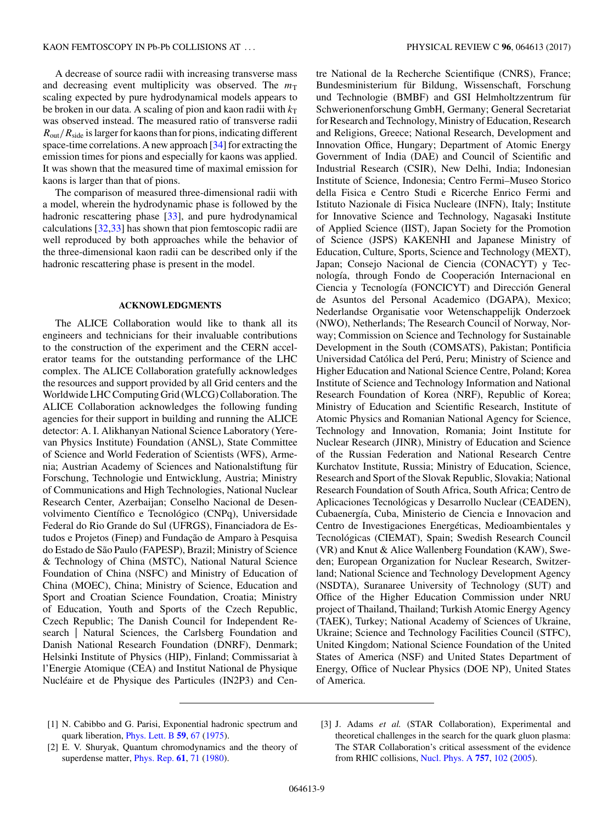<span id="page-8-0"></span>A decrease of source radii with increasing transverse mass and decreasing event multiplicity was observed. The  $m<sub>T</sub>$ scaling expected by pure hydrodynamical models appears to be broken in our data. A scaling of pion and kaon radii with  $k_T$ was observed instead. The measured ratio of transverse radii  $R_{\text{out}}/R_{\text{side}}$  is larger for kaons than for pions, indicating different space-time correlations. A new approach [\[34\]](#page-9-0) for extracting the emission times for pions and especially for kaons was applied. It was shown that the measured time of maximal emission for kaons is larger than that of pions.

The comparison of measured three-dimensional radii with a model, wherein the hydrodynamic phase is followed by the hadronic rescattering phase [\[33\]](#page-9-0), and pure hydrodynamical calculations [\[32,33\]](#page-9-0) has shown that pion femtoscopic radii are well reproduced by both approaches while the behavior of the three-dimensional kaon radii can be described only if the hadronic rescattering phase is present in the model.

#### **ACKNOWLEDGMENTS**

The ALICE Collaboration would like to thank all its engineers and technicians for their invaluable contributions to the construction of the experiment and the CERN accelerator teams for the outstanding performance of the LHC complex. The ALICE Collaboration gratefully acknowledges the resources and support provided by all Grid centers and the Worldwide LHC Computing Grid (WLCG) Collaboration. The ALICE Collaboration acknowledges the following funding agencies for their support in building and running the ALICE detector: A. I. Alikhanyan National Science Laboratory (Yerevan Physics Institute) Foundation (ANSL), State Committee of Science and World Federation of Scientists (WFS), Armenia; Austrian Academy of Sciences and Nationalstiftung für Forschung, Technologie und Entwicklung, Austria; Ministry of Communications and High Technologies, National Nuclear Research Center, Azerbaijan; Conselho Nacional de Desenvolvimento Científico e Tecnológico (CNPq), Universidade Federal do Rio Grande do Sul (UFRGS), Financiadora de Estudos e Projetos (Finep) and Fundação de Amparo à Pesquisa do Estado de São Paulo (FAPESP), Brazil; Ministry of Science & Technology of China (MSTC), National Natural Science Foundation of China (NSFC) and Ministry of Education of China (MOEC), China; Ministry of Science, Education and Sport and Croatian Science Foundation, Croatia; Ministry of Education, Youth and Sports of the Czech Republic, Czech Republic; The Danish Council for Independent Research | Natural Sciences, the Carlsberg Foundation and Danish National Research Foundation (DNRF), Denmark; Helsinki Institute of Physics (HIP), Finland; Commissariat à l'Energie Atomique (CEA) and Institut National de Physique Nucléaire et de Physique des Particules (IN2P3) and Cen-

tre National de la Recherche Scientifique (CNRS), France; Bundesministerium für Bildung, Wissenschaft, Forschung und Technologie (BMBF) and GSI Helmholtzzentrum für Schwerionenforschung GmbH, Germany; General Secretariat for Research and Technology, Ministry of Education, Research and Religions, Greece; National Research, Development and Innovation Office, Hungary; Department of Atomic Energy Government of India (DAE) and Council of Scientific and Industrial Research (CSIR), New Delhi, India; Indonesian Institute of Science, Indonesia; Centro Fermi–Museo Storico della Fisica e Centro Studi e Ricerche Enrico Fermi and Istituto Nazionale di Fisica Nucleare (INFN), Italy; Institute for Innovative Science and Technology, Nagasaki Institute of Applied Science (IIST), Japan Society for the Promotion of Science (JSPS) KAKENHI and Japanese Ministry of Education, Culture, Sports, Science and Technology (MEXT), Japan; Consejo Nacional de Ciencia (CONACYT) y Tecnología, through Fondo de Cooperación Internacional en Ciencia y Tecnología (FONCICYT) and Dirección General de Asuntos del Personal Academico (DGAPA), Mexico; Nederlandse Organisatie voor Wetenschappelijk Onderzoek (NWO), Netherlands; The Research Council of Norway, Norway; Commission on Science and Technology for Sustainable Development in the South (COMSATS), Pakistan; Pontificia Universidad Católica del Perú, Peru; Ministry of Science and Higher Education and National Science Centre, Poland; Korea Institute of Science and Technology Information and National Research Foundation of Korea (NRF), Republic of Korea; Ministry of Education and Scientific Research, Institute of Atomic Physics and Romanian National Agency for Science, Technology and Innovation, Romania; Joint Institute for Nuclear Research (JINR), Ministry of Education and Science of the Russian Federation and National Research Centre Kurchatov Institute, Russia; Ministry of Education, Science, Research and Sport of the Slovak Republic, Slovakia; National Research Foundation of South Africa, South Africa; Centro de Aplicaciones Tecnológicas y Desarrollo Nuclear (CEADEN), Cubaenergía, Cuba, Ministerio de Ciencia e Innovacion and Centro de Investigaciones Energéticas, Medioambientales y Tecnológicas (CIEMAT), Spain; Swedish Research Council (VR) and Knut & Alice Wallenberg Foundation (KAW), Sweden; European Organization for Nuclear Research, Switzerland; National Science and Technology Development Agency (NSDTA), Suranaree University of Technology (SUT) and Office of the Higher Education Commission under NRU project of Thailand, Thailand; Turkish Atomic Energy Agency (TAEK), Turkey; National Academy of Sciences of Ukraine, Ukraine; Science and Technology Facilities Council (STFC), United Kingdom; National Science Foundation of the United States of America (NSF) and United States Department of Energy, Office of Nuclear Physics (DOE NP), United States of America.

[1] N. Cabibbo and G. Parisi, Exponential hadronic spectrum and quark liberation, [Phys. Lett. B](https://doi.org/10.1016/0370-2693(75)90158-6) **[59](https://doi.org/10.1016/0370-2693(75)90158-6)**, [67](https://doi.org/10.1016/0370-2693(75)90158-6) [\(1975\)](https://doi.org/10.1016/0370-2693(75)90158-6).

<sup>[2]</sup> E. V. Shuryak, Quantum chromodynamics and the theory of superdense matter, [Phys. Rep.](https://doi.org/10.1016/0370-1573(80)90105-2) **[61](https://doi.org/10.1016/0370-1573(80)90105-2)**, [71](https://doi.org/10.1016/0370-1573(80)90105-2) [\(1980\)](https://doi.org/10.1016/0370-1573(80)90105-2).

<sup>[3]</sup> J. Adams *et al.* (STAR Collaboration), Experimental and theoretical challenges in the search for the quark gluon plasma: The STAR Collaboration's critical assessment of the evidence from RHIC collisions, [Nucl. Phys. A](https://doi.org/10.1016/j.nuclphysa.2005.03.085) **[757](https://doi.org/10.1016/j.nuclphysa.2005.03.085)**, [102](https://doi.org/10.1016/j.nuclphysa.2005.03.085) [\(2005\)](https://doi.org/10.1016/j.nuclphysa.2005.03.085).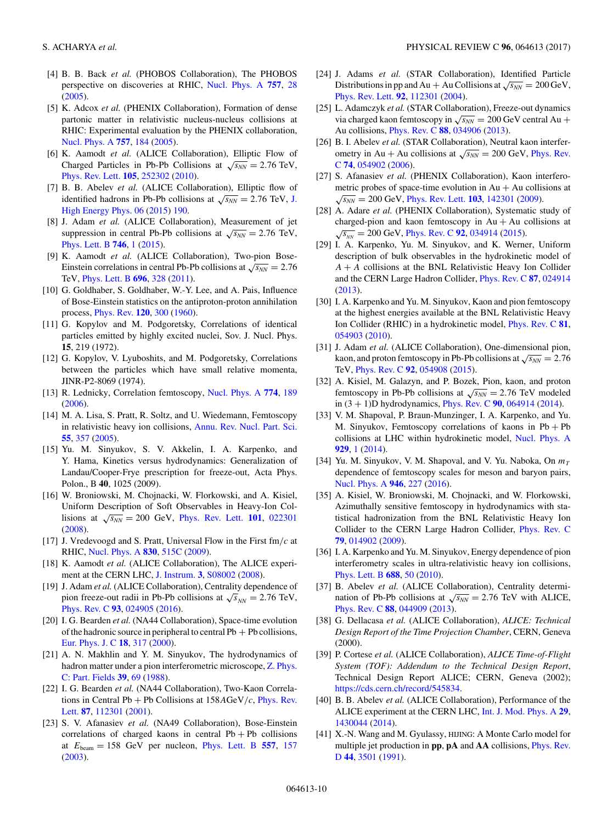- <span id="page-9-0"></span>[4] B. B. Back *et al.* (PHOBOS Collaboration), The PHOBOS perspective on discoveries at RHIC, [Nucl. Phys. A](https://doi.org/10.1016/j.nuclphysa.2005.03.084) **[757](https://doi.org/10.1016/j.nuclphysa.2005.03.084)**, [28](https://doi.org/10.1016/j.nuclphysa.2005.03.084) [\(2005\)](https://doi.org/10.1016/j.nuclphysa.2005.03.084).
- [5] K. Adcox *et al.* (PHENIX Collaboration), Formation of dense partonic matter in relativistic nucleus-nucleus collisions at RHIC: Experimental evaluation by the PHENIX collaboration, [Nucl. Phys. A](https://doi.org/10.1016/j.nuclphysa.2005.03.086) **[757](https://doi.org/10.1016/j.nuclphysa.2005.03.086)**, [184](https://doi.org/10.1016/j.nuclphysa.2005.03.086) [\(2005\)](https://doi.org/10.1016/j.nuclphysa.2005.03.086).
- [6] K. Aamodt *et al.* (ALICE Collaboration), Elliptic Flow of Charged Particles in Pb-Pb Collisions at  $\sqrt{s_{NN}} = 2.76$  TeV, [Phys. Rev. Lett.](https://doi.org/10.1103/PhysRevLett.105.252302) **[105](https://doi.org/10.1103/PhysRevLett.105.252302)**, [252302](https://doi.org/10.1103/PhysRevLett.105.252302) [\(2010\)](https://doi.org/10.1103/PhysRevLett.105.252302).
- [7] B. B. Abelev *et al.* (ALICE Collaboration), Elliptic flow of [identified hadrons in Pb-Pb collisions at](https://doi.org/10.1007/JHEP06(2015)190)  $\sqrt{s_{NN}} = 2.76$  TeV, J. High Energy Phys. [06](https://doi.org/10.1007/JHEP06(2015)190) [\(2015\)](https://doi.org/10.1007/JHEP06(2015)190) [190.](https://doi.org/10.1007/JHEP06(2015)190)
- [8] J. Adam *et al.* (ALICE Collaboration), Measurement of jet suppression in central Pb-Pb collisions at  $\sqrt{s_{NN}} = 2.76$  TeV, [Phys. Lett. B](https://doi.org/10.1016/j.physletb.2015.04.039) **[746](https://doi.org/10.1016/j.physletb.2015.04.039)**, [1](https://doi.org/10.1016/j.physletb.2015.04.039) [\(2015\)](https://doi.org/10.1016/j.physletb.2015.04.039).
- [9] K. Aamodt *et al.* (ALICE Collaboration), Two-pion Bose-Einstein correlations in central Pb-Pb collisions at  $\sqrt{s_{NN}} = 2.76$ TeV, [Phys. Lett. B](https://doi.org/10.1016/j.physletb.2010.12.053) **[696](https://doi.org/10.1016/j.physletb.2010.12.053)**, [328](https://doi.org/10.1016/j.physletb.2010.12.053) [\(2011\)](https://doi.org/10.1016/j.physletb.2010.12.053).
- [10] G. Goldhaber, S. Goldhaber, W.-Y. Lee, and A. Pais, Influence of Bose-Einstein statistics on the antiproton-proton annihilation process, [Phys. Rev.](https://doi.org/10.1103/PhysRev.120.300) **[120](https://doi.org/10.1103/PhysRev.120.300)**, [300](https://doi.org/10.1103/PhysRev.120.300) [\(1960\)](https://doi.org/10.1103/PhysRev.120.300).
- [11] G. Kopylov and M. Podgoretsky, Correlations of identical particles emitted by highly excited nuclei, Sov. J. Nucl. Phys. **15**, 219 (1972).
- [12] G. Kopylov, V. Lyuboshits, and M. Podgoretsky, Correlations between the particles which have small relative momenta, JINR-P2-8069 (1974).
- [13] R. Lednicky, Correlation femtoscopy, [Nucl. Phys. A](https://doi.org/10.1016/j.nuclphysa.2006.06.040) **[774](https://doi.org/10.1016/j.nuclphysa.2006.06.040)**, [189](https://doi.org/10.1016/j.nuclphysa.2006.06.040) [\(2006\)](https://doi.org/10.1016/j.nuclphysa.2006.06.040).
- [14] M. A. Lisa, S. Pratt, R. Soltz, and U. Wiedemann, Femtoscopy in relativistic heavy ion collisions, [Annu. Rev. Nucl. Part. Sci.](https://doi.org/10.1146/annurev.nucl.55.090704.151533) **[55](https://doi.org/10.1146/annurev.nucl.55.090704.151533)**, [357](https://doi.org/10.1146/annurev.nucl.55.090704.151533) [\(2005\)](https://doi.org/10.1146/annurev.nucl.55.090704.151533).
- [15] Yu. M. Sinyukov, S. V. Akkelin, I. A. Karpenko, and Y. Hama, Kinetics versus hydrodynamics: Generalization of Landau/Cooper-Frye prescription for freeze-out, Acta Phys. Polon., B **40**, 1025 (2009).
- [16] W. Broniowski, M. Chojnacki, W. Florkowski, and A. Kisiel, Uniform Description of Soft Observables in Heavy-Ion Collisions at  $\sqrt{s_{NN}}$  = 200 GeV, [Phys. Rev. Lett.](https://doi.org/10.1103/PhysRevLett.101.022301) **[101](https://doi.org/10.1103/PhysRevLett.101.022301)**, [022301](https://doi.org/10.1103/PhysRevLett.101.022301) [\(2008\)](https://doi.org/10.1103/PhysRevLett.101.022301).
- [17] J. Vredevoogd and S. Pratt, Universal Flow in the First  $\text{fm}/c$  at RHIC, [Nucl. Phys. A](https://doi.org/10.1016/j.nuclphysa.2009.10.140) **[830](https://doi.org/10.1016/j.nuclphysa.2009.10.140)**, [515C](https://doi.org/10.1016/j.nuclphysa.2009.10.140) [\(2009\)](https://doi.org/10.1016/j.nuclphysa.2009.10.140).
- [18] K. Aamodt *et al.* (ALICE Collaboration), The ALICE experiment at the CERN LHC, [J. Instrum.](https://doi.org/10.1088/1748-0221/3/08/S08002) **[3](https://doi.org/10.1088/1748-0221/3/08/S08002)**, [S08002](https://doi.org/10.1088/1748-0221/3/08/S08002) [\(2008\)](https://doi.org/10.1088/1748-0221/3/08/S08002).
- [19] J. Adam *et al.* (ALICE Collaboration), Centrality dependence of pion freeze-out radii in Pb-Pb collisions at  $\sqrt{s}_{NN} = 2.76$  TeV, [Phys. Rev. C](https://doi.org/10.1103/PhysRevC.93.024905) **[93](https://doi.org/10.1103/PhysRevC.93.024905)**, [024905](https://doi.org/10.1103/PhysRevC.93.024905) [\(2016\)](https://doi.org/10.1103/PhysRevC.93.024905).
- [20] I. G. Bearden *et al.* (NA44 Collaboration), Space-time evolution of the hadronic source in peripheral to central  $Pb + Pb$  collisions, [Eur. Phys. J. C](https://doi.org/10.1007/s100520000543) **[18](https://doi.org/10.1007/s100520000543)**, [317](https://doi.org/10.1007/s100520000543) [\(2000\)](https://doi.org/10.1007/s100520000543).
- [21] A. N. Makhlin and Y. M. Sinyukov, The hydrodynamics of [hadron matter under a pion interferometric microscope,](https://doi.org/10.1007/BF01560393) Z. Phys. C: Part. Fields **[39](https://doi.org/10.1007/BF01560393)**, [69](https://doi.org/10.1007/BF01560393) [\(1988\)](https://doi.org/10.1007/BF01560393).
- [22] I. G. Bearden et al. (NA44 Collaboration), Two-Kaon Correlations in Central Pb + Pb Collisions at  $158AGeV/c$ , Phys. Rev. Lett. **[87](https://doi.org/10.1103/PhysRevLett.87.112301)**, [112301](https://doi.org/10.1103/PhysRevLett.87.112301) [\(2001\)](https://doi.org/10.1103/PhysRevLett.87.112301).
- [23] S. V. Afanasiev et al. (NA49 Collaboration), Bose-Einstein correlations of charged kaons in central  $Pb + Pb$  collisions at  $E_{\text{beam}} = 158$  GeV per nucleon, [Phys. Lett. B](https://doi.org/10.1016/S0370-2693(03)00102-3) [557](https://doi.org/10.1016/S0370-2693(03)00102-3), [157](https://doi.org/10.1016/S0370-2693(03)00102-3) [\(2003\)](https://doi.org/10.1016/S0370-2693(03)00102-3).
- [24] J. Adams *et al.* (STAR Collaboration), Identified Particle Distributions in pp and Au + Au Collisions at  $\sqrt{s_{NN}} = 200 \,\text{GeV}$ , [Phys. Rev. Lett.](https://doi.org/10.1103/PhysRevLett.92.112301) **[92](https://doi.org/10.1103/PhysRevLett.92.112301)**, [112301](https://doi.org/10.1103/PhysRevLett.92.112301) [\(2004\)](https://doi.org/10.1103/PhysRevLett.92.112301).
- [25] L. Adamczyk *et al.* (STAR Collaboration), Freeze-out dynamics via charged kaon femtoscopy in  $\sqrt{s_{NN}}$  = 200 GeV central Au + Au collisions, [Phys. Rev. C](https://doi.org/10.1103/PhysRevC.88.034906) **[88](https://doi.org/10.1103/PhysRevC.88.034906)**, [034906](https://doi.org/10.1103/PhysRevC.88.034906) [\(2013\)](https://doi.org/10.1103/PhysRevC.88.034906).
- [26] B. I. Abelev et al. (STAR Collaboration), Neutral kaon interfer-ometry in Au + [Au collisions at](https://doi.org/10.1103/PhysRevC.74.054902)  $\sqrt{s_{NN}}$  = 200 GeV, Phys. Rev. C **[74](https://doi.org/10.1103/PhysRevC.74.054902)**, [054902](https://doi.org/10.1103/PhysRevC.74.054902) [\(2006\)](https://doi.org/10.1103/PhysRevC.74.054902).
- [27] S. Afanasiev *et al.* (PHENIX Collaboration), Kaon interferometric probes of space-time evolution in  $Au + Au$  collisions at  $\sqrt{s_{NN}}$  = 200 GeV, [Phys. Rev. Lett.](https://doi.org/10.1103/PhysRevLett.103.142301) **[103](https://doi.org/10.1103/PhysRevLett.103.142301)**, [142301](https://doi.org/10.1103/PhysRevLett.103.142301) [\(2009\)](https://doi.org/10.1103/PhysRevLett.103.142301).
- [28] A. Adare *et al.* (PHENIX Collaboration), Systematic study of charged-pion and kaon femtoscopy in  $Au + Au$  collisions at  $\sqrt{s_{_{NN}}}$  = 200 GeV, [Phys. Rev. C](https://doi.org/10.1103/PhysRevC.92.034914) [92](https://doi.org/10.1103/PhysRevC.92.034914), [034914](https://doi.org/10.1103/PhysRevC.92.034914) [\(2015\)](https://doi.org/10.1103/PhysRevC.92.034914).
- [29] I. A. Karpenko, Yu. M. Sinyukov, and K. Werner, Uniform description of bulk observables in the hydrokinetic model of  $A + A$  collisions at the BNL Relativistic Heavy Ion Collider and the CERN Large Hadron Collider, [Phys. Rev. C](https://doi.org/10.1103/PhysRevC.87.024914) **[87](https://doi.org/10.1103/PhysRevC.87.024914)**, [024914](https://doi.org/10.1103/PhysRevC.87.024914) [\(2013\)](https://doi.org/10.1103/PhysRevC.87.024914).
- [30] I. A. Karpenko and Yu. M. Sinyukov, Kaon and pion femtoscopy at the highest energies available at the BNL Relativistic Heavy Ion Collider (RHIC) in a hydrokinetic model, [Phys. Rev. C](https://doi.org/10.1103/PhysRevC.81.054903) **[81](https://doi.org/10.1103/PhysRevC.81.054903)**, [054903](https://doi.org/10.1103/PhysRevC.81.054903) [\(2010\)](https://doi.org/10.1103/PhysRevC.81.054903).
- [31] J. Adam et al. (ALICE Collaboration), One-dimensional pion, kaon, and proton femtoscopy in Pb-Pb collisions at  $\sqrt{s_{NN}} = 2.76$ TeV, [Phys. Rev. C](https://doi.org/10.1103/PhysRevC.92.054908) **[92](https://doi.org/10.1103/PhysRevC.92.054908)**, [054908](https://doi.org/10.1103/PhysRevC.92.054908) [\(2015\)](https://doi.org/10.1103/PhysRevC.92.054908).
- [32] A. Kisiel, M. Galazyn, and P. Bozek, Pion, kaon, and proton femtoscopy in Pb-Pb collisions at  $\sqrt{s_{NN}}$  = 2.76 TeV modeled in (3 + 1)D hydrodynamics, [Phys. Rev. C](https://doi.org/10.1103/PhysRevC.90.064914) **[90](https://doi.org/10.1103/PhysRevC.90.064914)**, [064914](https://doi.org/10.1103/PhysRevC.90.064914) [\(2014\)](https://doi.org/10.1103/PhysRevC.90.064914).
- [33] V. M. Shapoval, P. Braun-Munzinger, I. A. Karpenko, and Yu. M. Sinyukov, Femtoscopy correlations of kaons in  $Pb + Pb$ collisions at LHC within hydrokinetic model, [Nucl. Phys. A](https://doi.org/10.1016/j.nuclphysa.2014.05.003) **[929](https://doi.org/10.1016/j.nuclphysa.2014.05.003)**, [1](https://doi.org/10.1016/j.nuclphysa.2014.05.003) [\(2014\)](https://doi.org/10.1016/j.nuclphysa.2014.05.003).
- [34] Yu. M. Sinyukov, V. M. Shapoval, and V. Yu. Naboka, On  $m<sub>T</sub>$ dependence of femtoscopy scales for meson and baryon pairs, [Nucl. Phys. A](https://doi.org/10.1016/j.nuclphysa.2015.11.014) **[946](https://doi.org/10.1016/j.nuclphysa.2015.11.014)**, [227](https://doi.org/10.1016/j.nuclphysa.2015.11.014) [\(2016\)](https://doi.org/10.1016/j.nuclphysa.2015.11.014).
- [35] A. Kisiel, W. Broniowski, M. Chojnacki, and W. Florkowski, Azimuthally sensitive femtoscopy in hydrodynamics with statistical hadronization from the BNL Relativistic Heavy Ion Collider to the CERN Large Hadron Collider, [Phys. Rev. C](https://doi.org/10.1103/PhysRevC.79.014902) **[79](https://doi.org/10.1103/PhysRevC.79.014902)**, [014902](https://doi.org/10.1103/PhysRevC.79.014902) [\(2009\)](https://doi.org/10.1103/PhysRevC.79.014902).
- [36] I. A. Karpenko and Yu. M. Sinyukov, Energy dependence of pion interferometry scales in ultra-relativistic heavy ion collisions, [Phys. Lett. B](https://doi.org/10.1016/j.physletb.2010.03.068) **[688](https://doi.org/10.1016/j.physletb.2010.03.068)**, [50](https://doi.org/10.1016/j.physletb.2010.03.068) [\(2010\)](https://doi.org/10.1016/j.physletb.2010.03.068).
- [37] B. Abelev *et al.* (ALICE Collaboration), Centrality determination of Pb-Pb collisions at  $\sqrt{s_{NN}} = 2.76$  TeV with ALICE, [Phys. Rev. C](https://doi.org/10.1103/PhysRevC.88.044909) **[88](https://doi.org/10.1103/PhysRevC.88.044909)**, [044909](https://doi.org/10.1103/PhysRevC.88.044909) [\(2013\)](https://doi.org/10.1103/PhysRevC.88.044909).
- [38] G. Dellacasa *et al.* (ALICE Collaboration), *ALICE: Technical Design Report of the Time Projection Chamber*, CERN, Geneva (2000).
- [39] P. Cortese *et al.* (ALICE Collaboration), *ALICE Time-of-Flight System (TOF): Addendum to the Technical Design Report*, Technical Design Report ALICE; CERN, Geneva (2002); [https://cds.cern.ch/record/545834.](https://cds.cern.ch/record/545834)
- [40] B. B. Abelev *et al.* (ALICE Collaboration), Performance of the ALICE experiment at the CERN LHC, [Int. J. Mod. Phys. A](https://doi.org/10.1142/S0217751X14300440) **[29](https://doi.org/10.1142/S0217751X14300440)**, [1430044](https://doi.org/10.1142/S0217751X14300440) [\(2014\)](https://doi.org/10.1142/S0217751X14300440).
- [41] X.-N. Wang and M. Gyulassy, HIJING: A Monte Carlo model for [multiple jet production in](https://doi.org/10.1103/PhysRevD.44.3501) **pp**, **pA** and **AA** collisions, Phys. Rev. D **[44](https://doi.org/10.1103/PhysRevD.44.3501)**, [3501](https://doi.org/10.1103/PhysRevD.44.3501) [\(1991\)](https://doi.org/10.1103/PhysRevD.44.3501).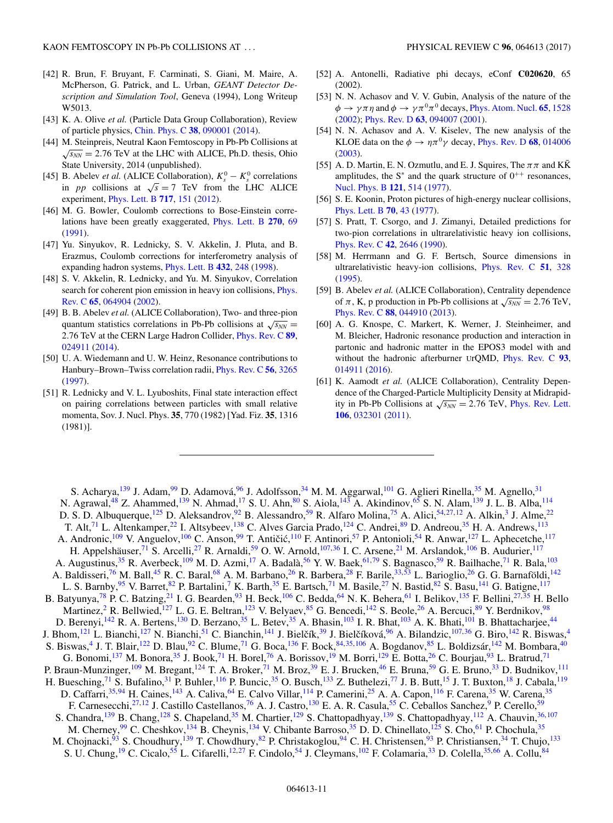- <span id="page-10-0"></span>[42] R. Brun, F. Bruyant, F. Carminati, S. Giani, M. Maire, A. McPherson, G. Patrick, and L. Urban, *GEANT Detector Description and Simulation Tool*, Geneva (1994), Long Writeup W5013.
- [43] K. A. Olive et al. (Particle Data Group Collaboration), Review of particle physics, [Chin. Phys. C](https://doi.org/10.1088/1674-1137/38/9/090001) **[38](https://doi.org/10.1088/1674-1137/38/9/090001)**, [090001](https://doi.org/10.1088/1674-1137/38/9/090001) [\(2014\)](https://doi.org/10.1088/1674-1137/38/9/090001).
- [44] M. Steinpreis, Neutral Kaon Femtoscopy in Pb-Pb Collisions at  $\sqrt{s_{NN}}$  = 2.76 TeV at the LHC with ALICE, Ph.D. thesis, Ohio State University, 2014 (unpublished).
- [45] B. Abelev *et al.* (ALICE Collaboration),  $K_s^0 K_s^0$  correlations in *pp* collisions at  $\sqrt{s} = 7$  TeV from the LHC ALICE experiment, [Phys. Lett. B](https://doi.org/10.1016/j.physletb.2012.09.013) **[717](https://doi.org/10.1016/j.physletb.2012.09.013)**, [151](https://doi.org/10.1016/j.physletb.2012.09.013) [\(2012\)](https://doi.org/10.1016/j.physletb.2012.09.013).
- [46] M. G. Bowler, Coulomb corrections to Bose-Einstein correlations have been greatly exaggerated, [Phys. Lett. B](https://doi.org/10.1016/0370-2693(91)91541-3) **[270](https://doi.org/10.1016/0370-2693(91)91541-3)**, [69](https://doi.org/10.1016/0370-2693(91)91541-3) [\(1991\)](https://doi.org/10.1016/0370-2693(91)91541-3).
- [47] Yu. Sinyukov, R. Lednicky, S. V. Akkelin, J. Pluta, and B. Erazmus, Coulomb corrections for interferometry analysis of expanding hadron systems, [Phys. Lett. B](https://doi.org/10.1016/S0370-2693(98)00653-4) **[432](https://doi.org/10.1016/S0370-2693(98)00653-4)**, [248](https://doi.org/10.1016/S0370-2693(98)00653-4) [\(1998\)](https://doi.org/10.1016/S0370-2693(98)00653-4).
- [48] S. V. Akkelin, R. Lednicky, and Yu. M. Sinyukov, Correlation [search for coherent pion emission in heavy ion collisions,](https://doi.org/10.1103/PhysRevC.65.064904) Phys. Rev. C **[65](https://doi.org/10.1103/PhysRevC.65.064904)**, [064904](https://doi.org/10.1103/PhysRevC.65.064904) [\(2002\)](https://doi.org/10.1103/PhysRevC.65.064904).
- [49] B. B. Abelev *et al.* (ALICE Collaboration), Two- and three-pion quantum statistics correlations in Pb-Pb collisions at  $\sqrt{s_{NN}}$  = 2.76 TeV at the CERN Large Hadron Collider, [Phys. Rev. C](https://doi.org/10.1103/PhysRevC.89.024911) **[89](https://doi.org/10.1103/PhysRevC.89.024911)**, [024911](https://doi.org/10.1103/PhysRevC.89.024911) [\(2014\)](https://doi.org/10.1103/PhysRevC.89.024911).
- [50] U. A. Wiedemann and U. W. Heinz, Resonance contributions to Hanbury–Brown–Twiss correlation radii, [Phys. Rev. C](https://doi.org/10.1103/PhysRevC.56.3265) **[56](https://doi.org/10.1103/PhysRevC.56.3265)**, [3265](https://doi.org/10.1103/PhysRevC.56.3265) [\(1997\)](https://doi.org/10.1103/PhysRevC.56.3265).
- [51] R. Lednicky and V. L. Lyuboshits, Final state interaction effect on pairing correlations between particles with small relative momenta, Sov. J. Nucl. Phys. **35**, 770 (1982) [Yad. Fiz. **35**, 1316 (1981)].
- [52] A. Antonelli, Radiative phi decays, eConf **C020620**, 65 (2002).
- [53] N. N. Achasov and V. V. Gubin, Analysis of the nature of the  $\phi \rightarrow \gamma \pi \eta$  and  $\phi \rightarrow \gamma \pi^0 \pi^0$  decays, [Phys. Atom. Nucl.](https://doi.org/10.1134/1.1501665) **[65](https://doi.org/10.1134/1.1501665)**, [1528](https://doi.org/10.1134/1.1501665) [\(2002\)](https://doi.org/10.1134/1.1501665); [Phys. Rev. D](https://doi.org/10.1103/PhysRevD.63.094007) **[63](https://doi.org/10.1103/PhysRevD.63.094007)**, [094007](https://doi.org/10.1103/PhysRevD.63.094007) [\(2001\)](https://doi.org/10.1103/PhysRevD.63.094007).
- [54] N. N. Achasov and A. V. Kiselev, The new analysis of the KLOE data on the  $\phi \rightarrow \eta \pi^0 \gamma$  decay, [Phys. Rev. D](https://doi.org/10.1103/PhysRevD.68.014006) [68](https://doi.org/10.1103/PhysRevD.68.014006), [014006](https://doi.org/10.1103/PhysRevD.68.014006) [\(2003\)](https://doi.org/10.1103/PhysRevD.68.014006).
- [55] A. D. Martin, E. N. Ozmutlu, and E. J. Squires, The  $\pi \pi$  and K $\bar{K}$ amplitudes, the  $S^*$  and the quark structure of  $0^{++}$  resonances, [Nucl. Phys. B](https://doi.org/10.1016/0550-3213(77)90169-9) **[121](https://doi.org/10.1016/0550-3213(77)90169-9)**, [514](https://doi.org/10.1016/0550-3213(77)90169-9) [\(1977\)](https://doi.org/10.1016/0550-3213(77)90169-9).
- [56] S. E. Koonin, Proton pictures of high-energy nuclear collisions, [Phys. Lett. B](https://doi.org/10.1016/0370-2693(77)90340-9) **[70](https://doi.org/10.1016/0370-2693(77)90340-9)**, [43](https://doi.org/10.1016/0370-2693(77)90340-9) [\(1977\)](https://doi.org/10.1016/0370-2693(77)90340-9).
- [57] S. Pratt, T. Csorgo, and J. Zimanyi, Detailed predictions for two-pion correlations in ultrarelativistic heavy ion collisions, [Phys. Rev. C](https://doi.org/10.1103/PhysRevC.42.2646) **[42](https://doi.org/10.1103/PhysRevC.42.2646)**, [2646](https://doi.org/10.1103/PhysRevC.42.2646) [\(1990\)](https://doi.org/10.1103/PhysRevC.42.2646).
- [58] M. Herrmann and G. F. Bertsch, Source dimensions in ultrarelativistic heavy-ion collisions, [Phys. Rev. C](https://doi.org/10.1103/PhysRevC.51.328) **[51](https://doi.org/10.1103/PhysRevC.51.328)**, [328](https://doi.org/10.1103/PhysRevC.51.328) [\(1995\)](https://doi.org/10.1103/PhysRevC.51.328).
- [59] B. Abelev et al. (ALICE Collaboration), Centrality dependence of  $\pi$ , K, p production in Pb-Pb collisions at  $\sqrt{s_{NN}} = 2.76$  TeV, [Phys. Rev. C](https://doi.org/10.1103/PhysRevC.88.044910) **[88](https://doi.org/10.1103/PhysRevC.88.044910)**, [044910](https://doi.org/10.1103/PhysRevC.88.044910) [\(2013\)](https://doi.org/10.1103/PhysRevC.88.044910).
- [60] A. G. Knospe, C. Markert, K. Werner, J. Steinheimer, and M. Bleicher, Hadronic resonance production and interaction in partonic and hadronic matter in the EPOS3 model with and without the hadronic afterburner UrQMD, [Phys. Rev. C](https://doi.org/10.1103/PhysRevC.93.014911) **[93](https://doi.org/10.1103/PhysRevC.93.014911)**, [014911](https://doi.org/10.1103/PhysRevC.93.014911) [\(2016\)](https://doi.org/10.1103/PhysRevC.93.014911).
- [61] K. Aamodt *et al.* (ALICE Collaboration), Centrality Dependence of the Charged-Particle Multiplicity Density at Midrapidity in Pb-Pb Collisions at  $\sqrt{s_{NN}} = 2.76$  TeV, [Phys. Rev. Lett.](https://doi.org/10.1103/PhysRevLett.106.032301) **[106](https://doi.org/10.1103/PhysRevLett.106.032301)**, [032301](https://doi.org/10.1103/PhysRevLett.106.032301) [\(2011\)](https://doi.org/10.1103/PhysRevLett.106.032301).

S. Acharya, <sup>[139](#page-15-0)</sup> J. Adam, <sup>99</sup> D. Adamová, <sup>96</sup> J. Adolfsson, <sup>34</sup> M. M. Aggarwal, <sup>101</sup> G. Aglieri Rinella, <sup>[35](#page-13-0)</sup> M. Agnello, <sup>[31](#page-13-0)</sup> N. Agrawal,<sup>48</sup> Z. Ahammed,<sup>139</sup> N. Ahmad,<sup>[17](#page-13-0)</sup> S. U. Ahn,<sup>80</sup> S. Aiola,<sup>[143](#page-15-0)</sup> A. Akindinov,<sup>[65](#page-14-0)</sup> S. N. Alam,<sup>[139](#page-15-0)</sup> J. L. B. Alba,<sup>114</sup> D. S. D. Albuquerque,<sup>[125](#page-15-0)</sup> D. Aleksandrov,<sup>92</sup> B. Alessandro,<sup>59</sup> R. Alfaro Molina,<sup>[75](#page-14-0)</sup> A. Alici,<sup>[54,27,12](#page-13-0)</sup> A. Alkin,<sup>[3](#page-12-0)</sup> J. Alme,<sup>22</sup> T. Alt,<sup>[71](#page-14-0)</sup> L. Altenkamper,<sup>[22](#page-13-0)</sup> I. Altsybeev,<sup>[138](#page-15-0)</sup> C. Alves Garcia Prado,<sup>[124](#page-15-0)</sup> C. Andrei,<sup>[89](#page-14-0)</sup> D. Andreou,<sup>[35](#page-13-0)</sup> H. A. Andrews,<sup>[113](#page-14-0)</sup> A. Andronic,<sup>[109](#page-14-0)</sup> V. Anguelov,<sup>[106](#page-14-0)</sup> C. Anson,<sup>[99](#page-14-0)</sup> T. Antičić,<sup>[110](#page-14-0)</sup> F. Antinori,<sup>57</sup> P. Antonioli,<sup>[54](#page-13-0)</sup> R. Anwar,<sup>127</sup> L. Aphecetche,<sup>117</sup> H. Appelshäuser,<sup>[71](#page-14-0)</sup> S. Arcelli,<sup>[27](#page-13-0)</sup> R. Arnaldi,<sup>[59](#page-13-0)</sup> O. W. Arnold,<sup>[107,](#page-14-0)[36](#page-13-0)</sup> I. C. Arsene,<sup>[21](#page-13-0)</sup> M. Arslandok,<sup>[106](#page-14-0)</sup> B. Audurier,<sup>117</sup> A. Augustinus,<sup>35</sup> R. Averbeck,<sup>[109](#page-14-0)</sup> M. D. Azmi,<sup>[17](#page-13-0)</sup> A. Badalà,<sup>[56](#page-13-0)</sup> Y. W. Baek,<sup>[61,](#page-13-0)[79](#page-14-0)</sup> S. Bagnasco,<sup>59</sup> R. Bailhache,<sup>[71](#page-14-0)</sup> R. Bala,<sup>[103](#page-14-0)</sup> A. Baldisseri,<sup>[76](#page-14-0)</sup> M. Ball,<sup>45</sup> R. C. Baral,<sup>[68](#page-14-0)</sup> A. M. Barbano,<sup>26</sup> R. Barbera,<sup>[28](#page-13-0)</sup> F. Barile,<sup>[33,53](#page-13-0)</sup> L. Barioglio,<sup>26</sup> G. G. Barnaföldi,<sup>[142](#page-15-0)</sup> L. S. Barnby,<sup>[95](#page-14-0)</sup> V. Barret,<sup>82</sup> P. Bartalini,<sup>7</sup> K. Barth,<sup>[35](#page-13-0)</sup> E. Bartsch,<sup>[71](#page-14-0)</sup> M. Basile,<sup>[27](#page-13-0)</sup> N. Bastid,<sup>[82](#page-14-0)</sup> S. Basu,<sup>[141](#page-15-0)</sup> G. Batigne,<sup>[117](#page-14-0)</sup> B. Batyunya,<sup>[78](#page-14-0)</sup> P. C. Batzing,<sup>[21](#page-13-0)</sup> I. G. Bearden,<sup>93</sup> H. Beck,<sup>106</sup> C. Bedda,<sup>[64](#page-13-0)</sup> N. K. Behera,<sup>61</sup> I. Belikov,<sup>135</sup> F. Bellini,<sup>27,35</sup> H. Bello Martinez,<sup>[2](#page-12-0)</sup> R. Bellwied,<sup>[127](#page-15-0)</sup> L. G. E. Beltran,<sup>[123](#page-14-0)</sup> V. Belyaev,<sup>[85](#page-14-0)</sup> G. Bencedi,<sup>[142](#page-15-0)</sup> S. Beole,<sup>[26](#page-13-0)</sup> A. Bercuci,<sup>[89](#page-14-0)</sup> Y. Berdnikov,<sup>[98](#page-14-0)</sup> D. Berenyi,<sup>142</sup> R. A. Bertens,<sup>130</sup> D. Berzano,<sup>[35](#page-13-0)</sup> L. Betev,<sup>35</sup> A. Bhasin,<sup>[103](#page-14-0)</sup> I. R. Bhat,<sup>103</sup> A. K. Bhati,<sup>101</sup> B. Bhattacharjee,<sup>44</sup> J. Bhom, <sup>121</sup> L. Bianchi, <sup>127</sup> N. Bianchi, <sup>[51](#page-13-0)</sup> C. Bianchin, <sup>[141](#page-15-0)</sup> J. Bielčík, <sup>[39](#page-13-0)</sup> J. Bielčíková, <sup>[96](#page-14-0)</sup> A. Bilandzic, <sup>[107,](#page-14-0) [36](#page-13-0)</sup> G. Biro, <sup>[142](#page-15-0)</sup> R. Biswas, <sup>[4](#page-12-0)</sup> S. Biswas,<sup>4</sup> J. T. Blair,<sup>[122](#page-14-0)</sup> D. Blau,<sup>[92](#page-14-0)</sup> C. Blume,<sup>[71](#page-14-0)</sup> G. Boca,<sup>136</sup> F. Bock,<sup>[84,](#page-14-0)[35,](#page-13-0)[106](#page-14-0)</sup> A. Bogdanov,<sup>[85](#page-14-0)</sup> L. Boldizsár,<sup>[142](#page-15-0)</sup> M. Bombara,<sup>40</sup> G. Bonomi,<sup>137</sup> M. Bonora,<sup>35</sup> J. Book,<sup>71</sup> H. Borel,<sup>[76](#page-14-0)</sup> A. Borissov,<sup>[19](#page-13-0)</sup> M. Borri,<sup>[129](#page-15-0)</sup> E. Botta,<sup>[26](#page-13-0)</sup> C. Bourjau,<sup>[93](#page-14-0)</sup> L. Bratrud,<sup>[71](#page-14-0)</sup> P. Braun-Munzinger,<sup>[109](#page-14-0)</sup> M. Bregant,<sup>[124](#page-15-0)</sup> T. A. Broker,<sup>[71](#page-14-0)</sup> M. Broz,<sup>[39](#page-13-0)</sup> E. J. Brucken,<sup>[46](#page-13-0)</sup> E. Bruna,<sup>[59](#page-13-0)</sup> G. E. Bruno,<sup>[33](#page-13-0)</sup> D. Budnikov,<sup>[111](#page-14-0)</sup> H. Buesching,<sup>71</sup> S. Bufalino,<sup>[31](#page-13-0)</sup> P. Buhler,<sup>[116](#page-14-0)</sup> P. Buncic,<sup>[35](#page-13-0)</sup> O. Busch,<sup>133</sup> Z. Buthelezi,<sup>[77](#page-14-0)</sup> J. B. Butt,<sup>15</sup> J. T. Buxton,<sup>18</sup> J. Cabala,<sup>119</sup> D. Caffarri,<sup>[35,](#page-13-0)[94](#page-14-0)</sup> H. Caines,<sup>[143](#page-15-0)</sup> A. Caliva,<sup>64</sup> E. Calvo Villar,<sup>114</sup> P. Camerini,<sup>[25](#page-13-0)</sup> A. A. Capon,<sup>116</sup> F. Carena,<sup>[35](#page-13-0)</sup> W. Carena,<sup>35</sup> F. Carnesecchi,<sup>27,12</sup> J. Castillo Castellanos,<sup>[76](#page-14-0)</sup> A. J. Castro,<sup>[130](#page-15-0)</sup> E. A. R. Casula,<sup>[55](#page-13-0)</sup> C. Ceballos Sanchez,<sup>9</sup> P. Cerello,<sup>[59](#page-13-0)</sup> S. Chandra,  $^{139}$  $^{139}$  $^{139}$  B. Chang,  $^{128}$  $^{128}$  $^{128}$  S. Chapeland,  $^{35}$  M. Chartier,  $^{129}$  S. Chattopadhyay,  $^{139}$  S. Chattopadhyay,  $^{112}$  A. Chauvin,  $^{36,107}$  $^{36,107}$  $^{36,107}$  $^{36,107}$ M. Cherney, <sup>[99](#page-14-0)</sup> C. Cheshkov, <sup>[134](#page-15-0)</sup> B. Cheynis, <sup>134</sup> V. Chibante Barroso, <sup>35</sup> D. D. Chinellato, <sup>[125](#page-15-0)</sup> S. Cho, <sup>[61](#page-13-0)</sup> P. Chochula, <sup>35</sup> M. Chojnacki,<sup>93</sup> S. Choudhury,<sup>139</sup> T. Chowdhury,<sup>[82](#page-14-0)</sup> P. Christakoglou,<sup>[94](#page-14-0)</sup> C. H. Christensen,<sup>[93](#page-14-0)</sup> P. Christiansen,<sup>[34](#page-13-0)</sup> T. Chujo,<sup>[133](#page-15-0)</sup> S. U. Chung,<sup>[19](#page-13-0)</sup> C. Cicalo,<sup>[55](#page-13-0)</sup> L. Cifarelli,<sup>[12,27](#page-13-0)</sup> F. Cindolo,<sup>[54](#page-13-0)</sup> J. Cleymans,<sup>102</sup> F. Colamaria,<sup>[33](#page-13-0)</sup> D. Colella,<sup>35[,66](#page-14-0)</sup> A. Collu,<sup>[84](#page-14-0)</sup>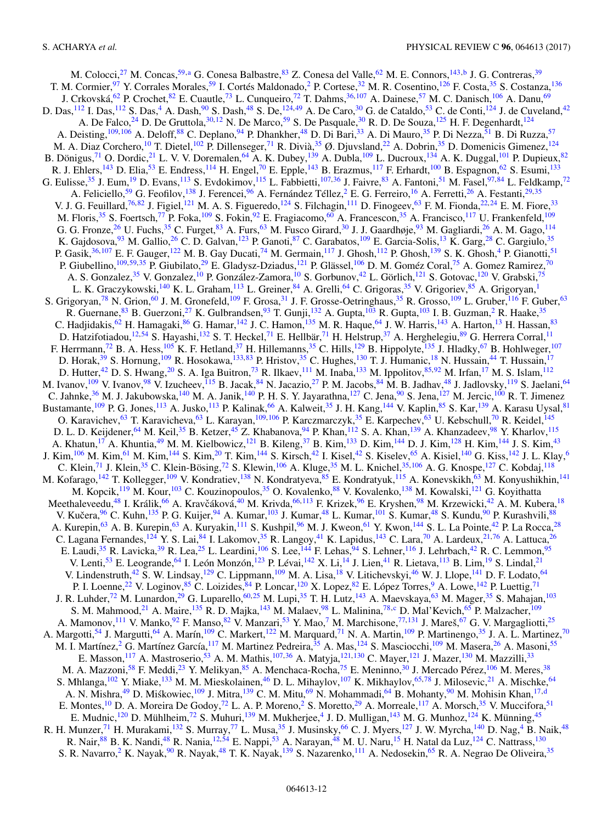M. Colocci,<sup>[27](#page-13-0)</sup> M. Conc[a](#page-15-0)s,<sup>59,a</sup> G. Conesa Balbastre,<sup>[83](#page-14-0)</sup> Z. Conesa del Valle,<sup>62</sup> M. E. Connors,<sup>143,b</sup> J. G. Contreras,<sup>39</sup> T. M. Cormier, <sup>97</sup> Y. Corrales Morales, <sup>[59](#page-13-0)</sup> I. Cortés Maldonado, <sup>[2](#page-12-0)</sup> P. Cortese, <sup>[32](#page-13-0)</sup> M. R. Cosentino, <sup>[126](#page-15-0)</sup> F. Costa, <sup>[35](#page-13-0)</sup> S. Costanza, <sup>[136](#page-15-0)</sup> J. Crkovská, <sup>62</sup> P. Crochet, <sup>[82](#page-14-0)</sup> E. Cuautle, <sup>73</sup> L. Cunqueiro, <sup>[72](#page-14-0)</sup> T. Dahms, <sup>36, [107](#page-14-0)</sup> A. Dainese, <sup>[57](#page-13-0)</sup> M. C. Danisch, <sup>[106](#page-14-0)</sup> A. Danu, <sup>69</sup> D. Das,<sup>112</sup> I. Das,<sup>112</sup> S. Das,<sup>4</sup> A. Dash,<sup>90</sup> S. Dash,<sup>48</sup> S. De,<sup>124[,4](#page-12-0)9</sup> A. De Caro,<sup>[30](#page-13-0)</sup> G. de Cataldo,<sup>[53](#page-13-0)</sup> C. de Conti,<sup>[124](#page-15-0)</sup> J. de Cuveland,<sup>42</sup> A. De Falco,<sup>[24](#page-13-0)</sup> D. De Gruttola,<sup>[30,12](#page-13-0)</sup> N. De Marco,<sup>[59](#page-13-0)</sup> S. De Pasquale,<sup>[30](#page-13-0)</sup> R. D. De Souza,<sup>125</sup> H. F. Degenhardt,<sup>124</sup> A. Deisting,<sup>[109,106](#page-14-0)</sup> A. Deloff,<sup>[88](#page-14-0)</sup> C. Deplano,<sup>[94](#page-14-0)</sup> P. Dhankher,<sup>[48](#page-13-0)</sup> D. Di Bari,<sup>[33](#page-13-0)</sup> A. Di Mauro,<sup>[35](#page-13-0)</sup> P. Di Nezza,<sup>51</sup> B. Di Ruzza,<sup>57</sup> M. A. Diaz Corchero,<sup>[10](#page-13-0)</sup> T. Dietel,<sup>[102](#page-14-0)</sup> P. Dillenseger,<sup>[71](#page-14-0)</sup> R. Divià,<sup>[35](#page-13-0)</sup> Ø. Djuvsland,<sup>[22](#page-13-0)</sup> A. Dobrin,<sup>35</sup> D. Domenicis Gimenez,<sup>124</sup> B. Dönigus,<sup>[71](#page-14-0)</sup> O. Dordic,<sup>[21](#page-13-0)</sup> L. V. V. Doremalen,<sup>[64](#page-13-0)</sup> A. K. Dubey,<sup>[139](#page-15-0)</sup> A. Dubla,<sup>[109](#page-14-0)</sup> L. Ducroux,<sup>[134](#page-15-0)</sup> A. K. Duggal,<sup>101</sup> P. Dupieux,<sup>[82](#page-14-0)</sup> R. J. Ehlers,<sup>143</sup> D. Elia,<sup>[53](#page-13-0)</sup> E. Endress,<sup>[114](#page-14-0)</sup> H. Engel,<sup>70</sup> E. Epple,<sup>[143](#page-15-0)</sup> B. Erazmus,<sup>[117](#page-14-0)</sup> F. Erhardt,<sup>[100](#page-14-0)</sup> B. Espagnon,<sup>[62](#page-13-0)</sup> S. Esumi,<sup>[133](#page-15-0)</sup> G. Eulisse,<sup>[35](#page-13-0)</sup> J. Eum,<sup>[19](#page-13-0)</sup> D. Evans,<sup>[113](#page-14-0)</sup> S. Evdokimov,<sup>[115](#page-14-0)</sup> L. Fabbietti,<sup>[107,](#page-14-0)[36](#page-13-0)</sup> J. Faivre,<sup>83</sup> A. Fantoni,<sup>[51](#page-13-0)</sup> M. Fasel,<sup>[97,84](#page-14-0)</sup> L. Feldkamp,<sup>[72](#page-14-0)</sup> A. Feliciello,<sup>[59](#page-13-0)</sup> G. Feofilov,<sup>[138](#page-15-0)</sup> J. Ferencei,<sup>96</sup> A. Fernández Téllez,<sup>[2](#page-12-0)</sup> E. G. Ferreiro,<sup>[16](#page-13-0)</sup> A. Ferretti,<sup>[26](#page-13-0)</sup> A. Festanti,<sup>[29,35](#page-13-0)</sup> V. J. G. Feuillard,<sup>[76,82](#page-14-0)</sup> J. Figiel,<sup>121</sup> M. A. S. Figueredo,<sup>[124](#page-15-0)</sup> S. Filchagin,<sup>[111](#page-14-0)</sup> D. Finogeev,<sup>[63](#page-13-0)</sup> F. M. Fionda,<sup>[22,24](#page-13-0)</sup> E. M. Fiore,<sup>[33](#page-13-0)</sup> M. Floris,<sup>[35](#page-13-0)</sup> S. Foertsch,<sup>[77](#page-14-0)</sup> P. Foka,<sup>[109](#page-14-0)</sup> S. Fokin,<sup>[92](#page-14-0)</sup> E. Fragiacomo,<sup>[60](#page-13-0)</sup> A. Francescon,<sup>35</sup> A. Francisco,<sup>[117](#page-14-0)</sup> U. Frankenfeld,<sup>109</sup> G. G. Fronze,<sup>[26](#page-13-0)</sup> U. Fuchs,<sup>35</sup> C. Furget,<sup>[83](#page-14-0)</sup> A. Furs,<sup>63</sup> M. Fusco Girard,<sup>[30](#page-13-0)</sup> J. J. Gaardhøje,<sup>93</sup> M. Gagliardi,<sup>26</sup> A. M. Gago,<sup>[114](#page-14-0)</sup> K. Gajdosova,<sup>[93](#page-14-0)</sup> M. Gallio,<sup>[26](#page-13-0)</sup> C. D. Galvan,<sup>123</sup> P. Ganoti,<sup>87</sup> C. Garabatos,<sup>[109](#page-14-0)</sup> E. Garcia-Solis,<sup>[13](#page-13-0)</sup> K. Garg,<sup>[28](#page-13-0)</sup> C. Gargiulo,<sup>[35](#page-13-0)</sup> P. Gasik,<sup>[36,](#page-13-0)[107](#page-14-0)</sup> E. F. Gauger,<sup>[122](#page-14-0)</sup> M. B. Gay Ducati,<sup>[74](#page-14-0)</sup> M. Germain,<sup>[117](#page-14-0)</sup> J. Ghosh,<sup>[112](#page-14-0)</sup> P. Ghosh,<sup>[139](#page-15-0)</sup> S. K. Ghosh,<sup>[4](#page-12-0)</sup> P. Gianotti,<sup>51</sup> P. Giubellino,<sup>[109,](#page-14-0)[59,35](#page-13-0)</sup> P. Giubilato,<sup>[29](#page-13-0)</sup> E. Gladysz-Dziadus,<sup>[121](#page-14-0)</sup> P. Glässel,<sup>106</sup> D. M. Goméz Coral,<sup>[75](#page-14-0)</sup> A. Gomez Ramirez,<sup>[70](#page-14-0)</sup> A. S. Gonzalez,<sup>35</sup> V. Gonzalez,<sup>[10](#page-13-0)</sup> P. González-Zamora,<sup>10</sup> S. Gorbunov,<sup>[42](#page-13-0)</sup> L. Görlich,<sup>[121](#page-14-0)</sup> S. Gotovac,<sup>120</sup> V. Grabski,<sup>[75](#page-14-0)</sup> L. K. Graczykowski,<sup>[140](#page-15-0)</sup> K. L. Graham,<sup>113</sup> L. Greiner,<sup>[84](#page-14-0)</sup> A. Grelli,<sup>[64](#page-13-0)</sup> C. Grigoras,<sup>[35](#page-13-0)</sup> V. Grigoriev,<sup>[85](#page-14-0)</sup> A. Grigoryan,<sup>[1](#page-12-0)</sup> S. Grigoryan,<sup>[78](#page-14-0)</sup> N. Grion,<sup>[60](#page-13-0)</sup> J. M. Gronefeld,<sup>[109](#page-14-0)</sup> F. Grosa,<sup>[31](#page-13-0)</sup> J. F. Grosse-Oetringhaus,<sup>35</sup> R. Grosso,<sup>109</sup> L. Gruber,<sup>[116](#page-14-0)</sup> F. Guber,<sup>[63](#page-13-0)</sup> R. Guernane, <sup>[83](#page-14-0)</sup> B. Guerzoni, <sup>27</sup> K. Gulbrandsen, <sup>[93](#page-14-0)</sup> T. Gunji, <sup>[132](#page-15-0)</sup> A. Gupta, <sup>[103](#page-14-0)</sup> R. Gupta, <sup>103</sup> I. B. Guzman, <sup>2</sup> R. Haake, <sup>[35](#page-13-0)</sup> C. Hadjidakis,<sup>62</sup> H. Hamagaki,<sup>86</sup> G. Hamar,<sup>142</sup> J. C. Hamon,<sup>[13](#page-13-0)5</sup> M. R. Haque,<sup>64</sup> J. W. Harris,<sup>143</sup> A. Harton,<sup>13</sup> H. Hassan,<sup>[83](#page-14-0)</sup> D. Hatzifotiadou,<sup>[12,54](#page-13-0)</sup> S. Hayashi,<sup>[132](#page-15-0)</sup> S. T. Heckel,<sup>[71](#page-14-0)</sup> E. Hellbär,<sup>71</sup> H. Helstrup,<sup>[37](#page-13-0)</sup> A. Herghelegiu,<sup>89</sup> G. Herrera Corral,<sup>[11](#page-13-0)</sup> F. Herrmann,<sup>[72](#page-14-0)</sup> B. A. Hess,<sup>105</sup> K. F. Hetland,<sup>[37](#page-13-0)</sup> H. Hillemanns,<sup>[35](#page-13-0)</sup> C. Hills,<sup>[129](#page-15-0)</sup> B. Hippolyte,<sup>[135](#page-15-0)</sup> J. Hladky,<sup>67</sup> B. Hohlweger,<sup>[107](#page-14-0)</sup> D. Horak,<sup>[39](#page-13-0)</sup> S. Hornung,<sup>[109](#page-14-0)</sup> R. Hosokawa,<sup>[133,](#page-15-0)[83](#page-14-0)</sup> P. Hristov,<sup>[35](#page-13-0)</sup> C. Hughes,<sup>[130](#page-15-0)</sup> T. J. Humanic,<sup>18</sup> N. Hussain,<sup>[44](#page-13-0)</sup> T. Hussain,<sup>[17](#page-13-0)</sup> D. Hutter,<sup>42</sup> D. S. Hwang,<sup>20</sup> S. A. Iga Buitron,<sup>[73](#page-14-0)</sup> R. Ilkaev,<sup>[111](#page-14-0)</sup> M. Inaba,<sup>133</sup> M. Ippolitov,<sup>[85,92](#page-14-0)</sup> M. Irfan,<sup>17</sup> M. S. Islam,<sup>[112](#page-14-0)</sup> M. Ivanov, <sup>[109](#page-14-0)</sup> V. Ivanov, <sup>[98](#page-14-0)</sup> V. Izucheev, <sup>[115](#page-14-0)</sup> B. Jacak, <sup>[84](#page-14-0)</sup> N. Jacazio, <sup>[27](#page-13-0)</sup> P. M. Jacobs, <sup>84</sup> M. B. Jadhav, <sup>[48](#page-13-0)</sup> J. Jadlovsky, <sup>119</sup> S. Jaelani, <sup>[64](#page-13-0)</sup> C. Jahnke,<sup>[36](#page-13-0)</sup> M. J. Jakubowska,<sup>[140](#page-15-0)</sup> M. A. Janik,<sup>140</sup> P. H. S. Y. Jayarathna,<sup>127</sup> C. Jena,<sup>[90](#page-14-0)</sup> S. Jena,<sup>[127](#page-15-0)</sup> M. Jercic,<sup>[100](#page-14-0)</sup> R. T. Jimenez Bustamante,<sup>[109](#page-14-0)</sup> P. G. Jones,<sup>[113](#page-14-0)</sup> A. Jusko,<sup>113</sup> P. Kalinak,<sup>[66](#page-14-0)</sup> A. Kalweit,<sup>[35](#page-13-0)</sup> J. H. Kang,<sup>[144](#page-15-0)</sup> V. Kaplin,<sup>[85](#page-14-0)</sup> S. Kar,<sup>139</sup> A. Karasu Uysal,<sup>81</sup> O. Karavichev,<sup>63</sup> T. Karavicheva,<sup>63</sup> L. Karayan,<sup>[109,106](#page-14-0)</sup> P. Karczmarczyk,<sup>[35](#page-13-0)</sup> E. Karpechev,<sup>[63](#page-13-0)</sup> U. Kebschull,<sup>70</sup> R. Keidel,<sup>[145](#page-15-0)</sup> D. L. D. Keijdener,<sup>[64](#page-13-0)</sup> M. Keil,<sup>[35](#page-13-0)</sup> B. Ketzer,<sup>[45](#page-13-0)</sup> Z. Khabanova,<sup>[94](#page-14-0)</sup> P. Khan,<sup>[112](#page-14-0)</sup> S. A. Khan,<sup>139</sup> A. Khanzadeev,<sup>[98](#page-14-0)</sup> Y. Kharlov,<sup>115</sup> A. Khatun,<sup>[17](#page-13-0)</sup> A. Khuntia,<sup>[49](#page-13-0)</sup> M. M. Kielbowicz,<sup>[121](#page-14-0)</sup> B. Kileng,<sup>[37](#page-13-0)</sup> B. Kim,<sup>[133](#page-15-0)</sup> D. Kim,<sup>[144](#page-15-0)</sup> D. J. Kim,<sup>[128](#page-15-0)</sup> H. Kim,<sup>144</sup> J. S. Kim,<sup>[43](#page-13-0)</sup> J. Kim,  $^{106}$  $^{106}$  $^{106}$  M. Kim,  $^{61}$  $^{61}$  $^{61}$  M. Kim,  $^{144}$  $^{144}$  $^{144}$  S. Kim, $^{20}$  $^{20}$  $^{20}$  T. Kim,  $^{144}$  S. Kirsch, $^{42}$  $^{42}$  $^{42}$  I. Kisel, $^{42}$  S. Kiselev, $^{65}$  $^{65}$  $^{65}$  A. Kisiel, $^{140}$  $^{140}$  $^{140}$  G. Kiss,  $^{142}$  $^{142}$  $^{142}$  J. L. Klay,  $^{6}$ C. Klein,<sup>[71](#page-14-0)</sup> J. Klein,<sup>35</sup> C. Klein-Bösing,<sup>72</sup> S. Klewin,<sup>[106](#page-14-0)</sup> A. Kluge,<sup>[35](#page-13-0)</sup> M. L. Knichel,<sup>[35,](#page-13-0)106</sup> A. G. Knospe,<sup>127</sup> C. Kobdaj,<sup>[118](#page-14-0)</sup> M. Kofarago,<sup>[142](#page-15-0)</sup> T. Kollegger,<sup>109</sup> V. Kondratiev,<sup>138</sup> N. Kondratyeva,<sup>85</sup> E. Kondratyuk,<sup>[115](#page-14-0)</sup> A. Konevskikh,<sup>[63](#page-13-0)</sup> M. Konyushikhin,<sup>[141](#page-15-0)</sup> M. Kopcik,<sup>[119](#page-14-0)</sup> M. Kour,<sup>103</sup> C. Kouzinopoulos,<sup>35</sup> O. Kovalenko,<sup>[88](#page-14-0)</sup> V. Kovalenko,<sup>[138](#page-15-0)</sup> M. Kowalski,<sup>[121](#page-14-0)</sup> G. Koyithatta Meethaleveedu,<sup>[48](#page-13-0)</sup> I. Králik,<sup>[66](#page-14-0)</sup> A. Kravčáková,<sup>[40](#page-13-0)</sup> M. Krivda,<sup>[66,113](#page-14-0)</sup> F. Krizek,<sup>[96](#page-14-0)</sup> E. Kryshen,<sup>[98](#page-14-0)</sup> M. Krzewicki,<sup>[42](#page-13-0)</sup> A. M. Kubera,<sup>18</sup> V. Kučera, <sup>[96](#page-14-0)</sup> C. Kuhn, <sup>[135](#page-15-0)</sup> P. G. Kuijer, <sup>[94](#page-14-0)</sup> A. Kumar, <sup>103</sup> J. Kumar, <sup>48</sup> L. Kumar, <sup>101</sup> S. Kumar, <sup>48</sup> S. Kundu, <sup>[90](#page-14-0)</sup> P. Kurashvili, <sup>[88](#page-14-0)</sup> A. Kurepin,<sup>[63](#page-13-0)</sup> A. B. Kurepin,<sup>63</sup> A. Kuryakin,<sup>[111](#page-14-0)</sup> S. Kushpil,<sup>[96](#page-14-0)</sup> M. J. Kweon,<sup>61</sup> Y. Kwon,<sup>[144](#page-15-0)</sup> S. L. La Pointe,<sup>[42](#page-13-0)</sup> P. La Rocca,<sup>[28](#page-13-0)</sup> C. Lagana Fernandes,<sup>[124](#page-15-0)</sup> Y. S. Lai,<sup>[84](#page-14-0)</sup> I. Lakomov,<sup>[35](#page-13-0)</sup> R. Langoy,<sup>[41](#page-13-0)</sup> K. Lapidus,<sup>[143](#page-15-0)</sup> C. Lara,<sup>[70](#page-14-0)</sup> A. Lardeux,<sup>[21,](#page-13-0)[76](#page-14-0)</sup> A. Lattuca,<sup>[26](#page-13-0)</sup> E. Laudi,<sup>[35](#page-13-0)</sup> R. Lavicka,<sup>[39](#page-13-0)</sup> R. Lea,<sup>[25](#page-13-0)</sup> L. Leardini,<sup>[106](#page-14-0)</sup> S. Lee,<sup>[144](#page-15-0)</sup> F. Lehas,<sup>94</sup> S. Lehner,<sup>[116](#page-14-0)</sup> J. Lehrbach,<sup>42</sup> R. C. Lemmon,<sup>95</sup> V. Lenti,<sup>[53](#page-13-0)</sup> E. Leogrande,<sup>64</sup> I. León Monzón,<sup>123</sup> P. Lévai,<sup>[142](#page-15-0)</sup> X. Li,<sup>[14](#page-13-0)</sup> J. Lien,<sup>[41](#page-13-0)</sup> R. Lietava,<sup>[113](#page-14-0)</sup> B. Lim,<sup>[19](#page-13-0)</sup> S. Lindal,<sup>[21](#page-13-0)</sup> V. Lindenstruth,<sup>42</sup> S. W. Lindsay,<sup>[129](#page-15-0)</sup> C. Lippmann,<sup>[109](#page-14-0)</sup> M. A. Lisa,<sup>[18](#page-13-0)</sup> V. Litichevskyi,<sup>46</sup> W. J. Llope,<sup>141</sup> D. F. Lodato,<sup>[64](#page-13-0)</sup> P. I. Loenne,<sup>22</sup> V. Loginov,<sup>[85](#page-14-0)</sup> C. Loizides,<sup>[84](#page-14-0)</sup> P. Loncar,<sup>[120](#page-14-0)</sup> X. Lopez,<sup>82</sup> E. López Torres,<sup>[9](#page-13-0)</sup> A. Lowe,<sup>[142](#page-15-0)</sup> P. Luettig,<sup>71</sup> J. R. Luhder,<sup>72</sup> M. Lunardon,<sup>[29](#page-13-0)</sup> G. Luparello,<sup>[60,25](#page-13-0)</sup> M. Lupi,<sup>[35](#page-13-0)</sup> T. H. Lutz,<sup>[143](#page-15-0)</sup> A. Maevskaya,<sup>[63](#page-13-0)</sup> M. Mager,<sup>35</sup> S. Mahajan,<sup>[103](#page-14-0)</sup> S. M. Mahmood,<sup>21</sup> A. Maire,<sup>[135](#page-15-0)</sup> R. D. Majka,<sup>[143](#page-15-0)</sup> M. Malaev,<sup>[98](#page-14-0)</sup> L. Malinina,<sup>[78,](#page-14-0)[c](#page-15-0)</sup> D. Mal'Kevich,<sup>[65](#page-14-0)</sup> P. Malzacher,<sup>109</sup> A. Mamonov,<sup>[111](#page-14-0)</sup> V. Manko,<sup>[92](#page-14-0)</sup> F. Manso,<sup>[82](#page-14-0)</sup> V. Manzari,<sup>53</sup> Y. Mao,<sup>[7](#page-13-0)</sup> M. Marchisone,<sup>[77,](#page-14-0)[131](#page-15-0)</sup> J. Mareš,<sup>67</sup> G. V. Margagliotti,<sup>[25](#page-13-0)</sup> A. Margotti,<sup>[54](#page-13-0)</sup> J. Margutti,<sup>64</sup> A. Marín,<sup>[109](#page-14-0)</sup> C. Markert,<sup>122</sup> M. Marquard,<sup>[71](#page-14-0)</sup> N. A. Martin,<sup>109</sup> P. Martinengo,<sup>[35](#page-13-0)</sup> J. A. L. Martinez,<sup>[70](#page-14-0)</sup> M. I. Martínez,<sup>[2](#page-12-0)</sup> G. Martínez García,<sup>117</sup> M. Martinez Pedreira,<sup>35</sup> A. Mas,<sup>124</sup> S. Masciocchi,<sup>[109](#page-14-0)</sup> M. Masera,<sup>[26](#page-13-0)</sup> A. Masoni,<sup>55</sup> E. Masson,<sup>[117](#page-14-0)</sup> A. Mastroserio,<sup>[53](#page-13-0)</sup> A. M. Mathis,<sup>[107,](#page-14-0)[36](#page-13-0)</sup> A. Matyja,<sup>[121,](#page-14-0)[130](#page-15-0)</sup> C. Mayer,<sup>[121](#page-14-0)</sup> J. Mazer,<sup>130</sup> M. Mazzilli,<sup>33</sup> M. A. Mazzoni,<sup>58</sup> F. Meddi,<sup>[23](#page-13-0)</sup> Y. Melikyan,<sup>[85](#page-14-0)</sup> A. Menchaca-Rocha,<sup>75</sup> E. Meninno,<sup>[30](#page-13-0)</sup> J. Mercado Pérez,<sup>[106](#page-14-0)</sup> M. Meres,<sup>38</sup> S. Mhlanga,<sup>[102](#page-14-0)</sup> Y. Miake,<sup>[133](#page-15-0)</sup> M. M. Mieskolainen,<sup>[46](#page-13-0)</sup> D. L. Mihaylov,<sup>[107](#page-14-0)</sup> K. Mikhaylov,<sup>[65,78](#page-14-0)</sup> J. Milosevic,<sup>[21](#page-13-0)</sup> A. Mischke,<sup>[64](#page-13-0)</sup> A. N. Mishra, <sup>[49](#page-13-0)</sup> D. Miśkowiec, <sup>[109](#page-14-0)</sup> J. Mitra, <sup>[139](#page-15-0)</sup> C. M. Mitu, <sup>[69](#page-14-0)</sup> N. Mohammadi, <sup>64</sup> B. Mohanty, <sup>[90](#page-14-0)</sup> M. Mohisin Khan, <sup>[17](#page-13-0), d</sup> E. Montes,<sup>[10](#page-13-0)</sup> D. A. Moreira De Godoy,<sup>[72](#page-14-0)</sup> L. A. P. Moreno,<sup>[2](#page-12-0)</sup> S. Moretto,<sup>[29](#page-13-0)</sup> A. Morreale,<sup>[117](#page-14-0)</sup> A. Morsch,<sup>[35](#page-13-0)</sup> V. Muccifora,<sup>51</sup> E. Mudnic, <sup>[120](#page-14-0)</sup> D. Mühlheim, <sup>[72](#page-14-0)</sup> S. Muhuri, <sup>[139](#page-15-0)</sup> M. Mukherjee, <sup>[4](#page-12-0)</sup> J. D. Mulligan, <sup>143</sup> M. G. Munhoz, <sup>[124](#page-15-0)</sup> K. Münning, <sup>[45](#page-13-0)</sup> R. H. Munzer,<sup>71</sup> H. Murakami,<sup>132</sup> S. Murray,<sup>[77](#page-14-0)</sup> L. Musa,<sup>[35](#page-13-0)</sup> J. Musinsky,<sup>66</sup> C. J. Myers,<sup>127</sup> J. W. Myrcha,<sup>1[4](#page-12-0)0</sup> D. Nag,<sup>4</sup> B. Naik,<sup>[48](#page-13-0)</sup> R. Nair,<sup>[88](#page-14-0)</sup> B. K. Nandi,<sup>48</sup> R. Nania,<sup>[12,54](#page-13-0)</sup> E. Nappi,<sup>[53](#page-13-0)</sup> A. Narayan,<sup>[48](#page-13-0)</sup> M. U. Naru,<sup>[15](#page-13-0)</sup> H. Natal da Luz,<sup>[124](#page-15-0)</sup> C. Nattrass,<sup>[130](#page-15-0)</sup> S. R. Navarro,<sup>[2](#page-12-0)</sup> K. Nayak,<sup>90</sup> R. Nayak,<sup>[48](#page-13-0)</sup> T. K. Nayak,<sup>139</sup> S. Nazarenko,<sup>[111](#page-14-0)</sup> A. Nedosekin,<sup>65</sup> R. A. Negrao De Oliveira,<sup>[35](#page-13-0)</sup>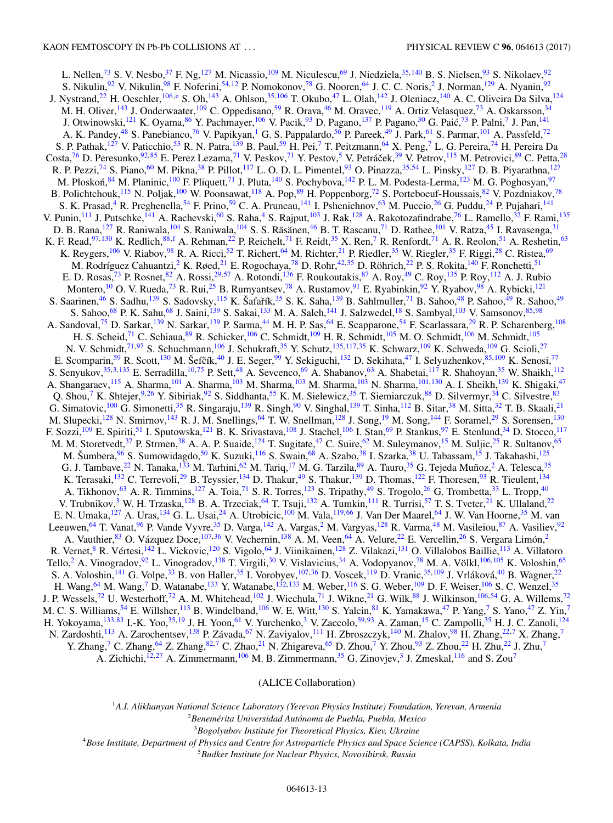<span id="page-12-0"></span>L. Nellen,<sup>[73](#page-14-0)</sup> S. V. Nesbo,<sup>[37](#page-13-0)</sup> F. Ng,<sup>[127](#page-15-0)</sup> M. Nicassio,<sup>[109](#page-14-0)</sup> M. Niculescu,<sup>[69](#page-14-0)</sup> J. Niedziela,<sup>35,[140](#page-15-0)</sup> B. S. Nielsen,<sup>[93](#page-14-0)</sup> S. Nikolaev,<sup>[92](#page-14-0)</sup> S. Nikulin,<sup>[92](#page-14-0)</sup> V. Nikulin,<sup>[98](#page-14-0)</sup> F. Noferini,<sup>[54,12](#page-13-0)</sup> P. Nomokonov,<sup>[78](#page-14-0)</sup> G. Nooren,<sup>64</sup> J. C. C. Noris,<sup>2</sup> J. Norman,<sup>129</sup> A. Nyanin,<sup>92</sup> J. Nystrand,<sup>22</sup> H. Oeschler,<sup>106,e</sup> S. Oh,<sup>143</sup> A. Ohlson,<sup>35[,106](#page-14-0)</sup> T. Okubo,<sup>[47](#page-13-0)</sup> L. Olah,<sup>[142](#page-15-0)</sup> J. Oleniacz,<sup>140</sup> A. C. Oliveira Da Silva,<sup>[124](#page-15-0)</sup> M. H. Oliver, <sup>[143](#page-15-0)</sup> J. Onderwaater, <sup>109</sup> C. Oppedisano, <sup>[59](#page-13-0)</sup> R. Orava, <sup>[46](#page-13-0)</sup> M. Oravec, <sup>[119](#page-14-0)</sup> A. Ortiz Velasquez, <sup>[73](#page-14-0)</sup> A. Oskarsson, <sup>[34](#page-13-0)</sup> J. Otwinowski,<sup>[121](#page-14-0)</sup> K. Oyama,<sup>[86](#page-14-0)</sup> Y. Pachmayer,<sup>[106](#page-14-0)</sup> V. Pacik,<sup>[93](#page-14-0)</sup> D. Pagano,<sup>137</sup> P. Pagano,<sup>30</sup> G. Paić,<sup>[73](#page-14-0)</sup> P. Palni,<sup>7</sup> J. Pan,<sup>141</sup> A. K. Pandey,<sup>48</sup> S. Panebianco,<sup>[76](#page-14-0)</sup> V. Papikyan,<sup>1</sup> G. S. Pappalardo,<sup>[56](#page-13-0)</sup> P. Pareek,<sup>[49](#page-13-0)</sup> J. Park,<sup>61</sup> S. Parmar,<sup>[101](#page-14-0)</sup> A. Passfeld,<sup>[72](#page-14-0)</sup> S. P. Pathak,<sup>[127](#page-15-0)</sup> V. Paticchio,<sup>[53](#page-13-0)</sup> R. N. Patra,<sup>[139](#page-15-0)</sup> B. Paul,<sup>[59](#page-13-0)</sup> H. Pei,<sup>[7](#page-13-0)</sup> T. Peitzmann,<sup>[64](#page-13-0)</sup> X. Peng,<sup>7</sup> L. G. Pereira,<sup>74</sup> H. Pereira Da Costa,<sup>[76](#page-14-0)</sup> D. Peresunko,<sup>92,85</sup> E. Perez Lezama,<sup>[71](#page-14-0)</sup> V. Peskov,<sup>71</sup> Y. Pestov,<sup>5</sup> V. Petráček,<sup>[39](#page-13-0)</sup> V. Petrov,<sup>[115](#page-14-0)</sup> M. Petrovici,<sup>89</sup> C. Petta,<sup>[28](#page-13-0)</sup> R. P. Pezzi,<sup>[74](#page-14-0)</sup> S. Piano,<sup>[60](#page-13-0)</sup> M. Pikna,<sup>[38](#page-13-0)</sup> P. Pillot,<sup>[117](#page-14-0)</sup> L. O. D. L. Pimentel,<sup>[93](#page-14-0)</sup> O. Pinazza,<sup>[35,54](#page-13-0)</sup> L. Pinsky,<sup>[127](#page-15-0)</sup> D. B. Piyarathna,<sup>127</sup> M. Płoskoń,<sup>[84](#page-14-0)</sup> M. Planinic,<sup>[100](#page-14-0)</sup> F. Pliquett,<sup>[71](#page-14-0)</sup> J. Pluta,<sup>[140](#page-15-0)</sup> S. Pochybova,<sup>142</sup> P. L. M. Podesta-Lerma,<sup>[123](#page-14-0)</sup> M. G. Poghosyan,<sup>[97](#page-14-0)</sup> B. Polichtchouk,<sup>[115](#page-14-0)</sup> N. Poljak,<sup>[100](#page-14-0)</sup> W. Poonsawat,<sup>118</sup> A. Pop,<sup>89</sup> H. Poppenborg,<sup>[72](#page-14-0)</sup> S. Porteboeuf-Houssais,<sup>82</sup> V. Pozdniakov,<sup>78</sup> S. K. Prasad,<sup>4</sup> R. Preghenella,<sup>54</sup> F. Prino,<sup>[59](#page-13-0)</sup> C. A. Pruneau,<sup>[141](#page-15-0)</sup> I. Pshenichnov,<sup>63</sup> M. Puccio,<sup>[26](#page-13-0)</sup> G. Puddu,<sup>[24](#page-13-0)</sup> P. Pujahari,<sup>141</sup> V. Punin,<sup>[111](#page-14-0)</sup> J. Putschke,<sup>141</sup> A. Rachevski,<sup>60</sup> S. Raha,<sup>4</sup> S. Rajput,<sup>[103](#page-14-0)</sup> J. Rak,<sup>128</sup> A. Rakotozafindrabe,<sup>[76](#page-14-0)</sup> L. Ramello,<sup>[32](#page-13-0)</sup> F. Rami,<sup>[135](#page-15-0)</sup> D. B. Rana,<sup>127</sup> R. Raniwala,<sup>[104](#page-14-0)</sup> S. Raniwala,<sup>104</sup> S. S. Räsänen,<sup>46</sup> B. T. Rascanu,<sup>[71](#page-14-0)</sup> D. Rathee,<sup>[101](#page-14-0)</sup> V. Ratza,<sup>[45](#page-13-0)</sup> I. Ravasenga,<sup>31</sup> K. F. Read,  $97,130$  $97,130$  K. Redlich,  $88, f$  $88, f$  $88, f$  A. Rehman,  $22$  P. Reichelt,  $71$  $71$  F. Reidt,  $35$  X. Ren,  $7$  R. Renfordt,  $71$  A. R. Reolon,  $51$  A. Reshetin,  $63$ K. Reygers,<sup>106</sup> V. Riabov,<sup>[98](#page-14-0)</sup> R. A. Ricci,<sup>[52](#page-13-0)</sup> T. Richert,<sup>[64](#page-13-0)</sup> M. Richter,<sup>[21](#page-13-0)</sup> P. Riedler,<sup>[35](#page-13-0)</sup> W. Riegler,<sup>35</sup> F. Riggi,<sup>28</sup> C. Ristea,<sup>[69](#page-14-0)</sup> M. Rodríguez Cahuantzi,<sup>2</sup> K. Røed,<sup>21</sup> E. Rogochaya,<sup>[78](#page-14-0)</sup> D. Rohr,<sup>[42,35](#page-13-0)</sup> D. Röhrich,<sup>[22](#page-13-0)</sup> P. S. Rokita,<sup>140</sup> F. Ronchetti,<sup>[51](#page-13-0)</sup> E. D. Rosas,<sup>73</sup> P. Rosnet,<sup>[82](#page-14-0)</sup> A. Rossi,<sup>[29,57](#page-13-0)</sup> A. Rotondi,<sup>[136](#page-15-0)</sup> F. Roukoutakis,<sup>[87](#page-14-0)</sup> A. Roy,<sup>[49](#page-13-0)</sup> C. Roy,<sup>[135](#page-15-0)</sup> P. Roy,<sup>[112](#page-14-0)</sup> A. J. Rubio Montero,<sup>[10](#page-13-0)</sup> O. V. Rueda,<sup>73</sup> R. Rui,<sup>[25](#page-13-0)</sup> B. Rumyantsev,<sup>78</sup> A. Rustamov,<sup>91</sup> E. Ryabinkin,<sup>[92](#page-14-0)</sup> Y. Ryabov,<sup>[98](#page-14-0)</sup> A. Rybicki,<sup>[121](#page-14-0)</sup> S. Saarinen,<sup>[46](#page-13-0)</sup> S. Sadhu,<sup>[139](#page-15-0)</sup> S. Sadovsky,<sup>[115](#page-14-0)</sup> K. Šafařík,<sup>[35](#page-13-0)</sup> S. K. Saha,<sup>139</sup> B. Sahlmuller,<sup>71</sup> B. Sahoo,<sup>[48](#page-13-0)</sup> P. Sahoo,<sup>[49](#page-13-0)</sup> R. Sahoo,<sup>49</sup> S. Sahoo,<sup>[68](#page-14-0)</sup> P. K. Sahu,<sup>68</sup> J. Saini,<sup>139</sup> S. Sakai,<sup>[133](#page-15-0)</sup> M. A. Saleh,<sup>141</sup> J. Salzwedel,<sup>18</sup> S. Sambyal,<sup>[103](#page-14-0)</sup> V. Samsonov,<sup>[85,98](#page-14-0)</sup> A. Sandoval,<sup>75</sup> D. Sarkar,<sup>[139](#page-15-0)</sup> N. Sarkar,<sup>139</sup> P. Sarma,<sup>[44](#page-13-0)</sup> M. H. P. Sas,<sup>64</sup> E. Scapparone,<sup>54</sup> F. Scarlassara,<sup>[29](#page-13-0)</sup> R. P. Scharenberg,<sup>108</sup> H. S. Scheid,<sup>[71](#page-14-0)</sup> C. Schiaua,<sup>89</sup> R. Schicker,<sup>[106](#page-14-0)</sup> C. Schmidt,<sup>[109](#page-14-0)</sup> H. R. Schmidt,<sup>[105](#page-14-0)</sup> M. O. Schmidt,<sup>106</sup> M. Schmidt,<sup>105</sup> N. V. Schmidt,<sup>[71,97](#page-14-0)</sup> S. Schuchmann,<sup>[106](#page-14-0)</sup> J. Schukraft,<sup>35</sup> Y. Schutz,<sup>135,117[,35](#page-13-0)</sup> K. Schwarz,<sup>[109](#page-14-0)</sup> K. Schweda,<sup>109</sup> G. Scioli,<sup>[27](#page-13-0)</sup> E. Scomparin,<sup>59</sup> R. Scott,<sup>[130](#page-15-0)</sup> M. Šefčík,<sup>[40](#page-13-0)</sup> J. E. Seger,<sup>99</sup> Y. Sekiguchi,<sup>[132](#page-15-0)</sup> D. Sekihata,<sup>[47](#page-13-0)</sup> I. Selyuzhenkov,<sup>85,109</sup> K. Senosi,<sup>77</sup> S. Senyukov,<sup>[35,](#page-13-0)3[,135](#page-15-0)</sup> E. Serradilla,<sup>[10](#page-13-0)[,75](#page-14-0)</sup> P. Sett,<sup>48</sup> A. Sevcenco,<sup>[69](#page-14-0)</sup> A. Shabanov,<sup>[63](#page-13-0)</sup> A. Shabetai,<sup>117</sup> R. Shahoyan,<sup>[35](#page-13-0)</sup> W. Shaikh,<sup>[112](#page-14-0)</sup> A. Shangaraev, <sup>115</sup> A. Sharma, <sup>101</sup> A. Sharma, <sup>103</sup> M. Sharma, <sup>103</sup> M. Sharma, <sup>103</sup> N. Sharma, <sup>101, [130](#page-15-0)</sup> A. I. Sheikh, <sup>[139](#page-15-0)</sup> K. Shigaki, <sup>[47](#page-13-0)</sup> Q. Shou,<sup>7</sup> K. Shtejer,<sup>9,26</sup> Y. Sibiriak,<sup>[92](#page-14-0)</sup> S. Siddhanta,<sup>[55](#page-13-0)</sup> K. M. Sielewicz,<sup>[35](#page-13-0)</sup> T. Siemiarczuk,<sup>88</sup> D. Silvermyr,<sup>34</sup> C. Silvestre,<sup>[83](#page-14-0)</sup> G. Simatovic,<sup>[100](#page-14-0)</sup> G. Simonetti,<sup>[35](#page-13-0)</sup> R. Singaraju,<sup>[139](#page-15-0)</sup> R. Singh,<sup>[90](#page-14-0)</sup> V. Singhal,<sup>139</sup> T. Sinha,<sup>[112](#page-14-0)</sup> B. Sitar,<sup>38</sup> M. Sitta,<sup>[32](#page-13-0)</sup> T. B. Skaali,<sup>[21](#page-13-0)</sup> M. Slupecki,<sup>128</sup> N. Smirnov,<sup>[143](#page-15-0)</sup> R. J. M. Snellings,<sup>[64](#page-13-0)</sup> T. W. Snellman,<sup>128</sup> J. Song,<sup>19</sup> M. Song,<sup>144</sup> F. Soramel,<sup>[29](#page-13-0)</sup> S. Sorensen,<sup>[130](#page-15-0)</sup> F. Sozzi,<sup>[109](#page-14-0)</sup> E. Spiriti,<sup>[51](#page-13-0)</sup> I. Sputowska,<sup>121</sup> B. K. Srivastava,<sup>[108](#page-14-0)</sup> J. Stachel,<sup>106</sup> I. Stan,<sup>69</sup> P. Stankus,<sup>[97](#page-14-0)</sup> E. Stenlund,<sup>[34](#page-13-0)</sup> D. Stocco,<sup>[117](#page-14-0)</sup> M. M. Storetvedt,<sup>[37](#page-13-0)</sup> P. Strmen,<sup>[38](#page-13-0)</sup> A. A. P. Suaide,<sup>[124](#page-15-0)</sup> T. Sugitate,<sup>[47](#page-13-0)</sup> C. Suire,<sup>[62](#page-13-0)</sup> M. Suleymanov,<sup>[15](#page-13-0)</sup> M. Suljic,<sup>[25](#page-13-0)</sup> R. Sultanov,<sup>[65](#page-14-0)</sup> M. Šumbera,<sup>[96](#page-14-0)</sup> S. Sumowidagdo,<sup>50</sup> K. Suzuki,<sup>[116](#page-14-0)</sup> S. Swain,<sup>[68](#page-14-0)</sup> A. Szabo,<sup>[38](#page-13-0)</sup> I. Szarka,<sup>38</sup> U. Tabassam,<sup>[15](#page-13-0)</sup> J. Takahashi,<sup>125</sup> G. J. Tambave,<sup>22</sup> N. Tanaka,<sup>[133](#page-15-0)</sup> M. Tarhini,<sup>[62](#page-13-0)</sup> M. Tariq,<sup>[17](#page-13-0)</sup> M. G. Tarzila,<sup>[89](#page-14-0)</sup> A. Tauro,<sup>[35](#page-13-0)</sup> G. Tejeda Muñoz,<sup>2</sup> A. Telesca,<sup>35</sup> K. Terasaki,<sup>[132](#page-15-0)</sup> C. Terrevoli,<sup>[29](#page-13-0)</sup> B. Teyssier,<sup>[134](#page-15-0)</sup> D. Thakur,<sup>[49](#page-13-0)</sup> S. Thakur,<sup>[139](#page-15-0)</sup> D. Thomas,<sup>122</sup> F. Thoresen,<sup>93</sup> R. Tieulent,<sup>134</sup> A. Tikhonov,<sup>[63](#page-13-0)</sup> A. R. Timmins,<sup>[127](#page-15-0)</sup> A. Toia,<sup>[71](#page-14-0)</sup> S. R. Torres,<sup>[123](#page-14-0)</sup> S. Tripathy,<sup>[49](#page-13-0)</sup> S. Trogolo,<sup>26</sup> G. Trombetta,<sup>[33](#page-13-0)</sup> L. Tropp,<sup>[40](#page-13-0)</sup> V. Trubnikov,<sup>3</sup> W. H. Trzaska,<sup>[128](#page-15-0)</sup> B. A. Trzeciak,<sup>[64](#page-13-0)</sup> T. Tsuji,<sup>132</sup> A. Tumkin,<sup>[111](#page-14-0)</sup> R. Turrisi,<sup>[57](#page-13-0)</sup> T. S. Tveter,<sup>[21](#page-13-0)</sup> K. Ullaland,<sup>[22](#page-13-0)</sup> E. N. Umaka,<sup>[127](#page-15-0)</sup> A. Uras,<sup>[134](#page-15-0)</sup> G. L. Usai,<sup>[24](#page-13-0)</sup> A. Utrobicic,<sup>[100](#page-14-0)</sup> M. Vala,<sup>[119,66](#page-14-0)</sup> J. Van Der Maarel,<sup>[64](#page-13-0)</sup> J. W. Van Hoorne,<sup>35</sup> M. van Leeuwen,<sup>[64](#page-13-0)</sup> T. Vanat,<sup>[96](#page-14-0)</sup> P. Vande Vyvre,<sup>[35](#page-13-0)</sup> D. Varga,<sup>[142](#page-15-0)</sup> A. Vargas,<sup>2</sup> M. Vargyas,<sup>[128](#page-15-0)</sup> R. Varma,<sup>[48](#page-13-0)</sup> M. Vasileiou,<sup>[87](#page-14-0)</sup> A. Vasiliev,<sup>[92](#page-14-0)</sup> A. Vauthier,<sup>83</sup> O. Vázquez Doce,<sup>107,[36](#page-13-0)</sup> V. Vechernin,<sup>138</sup> A. M. Veen,<sup>[64](#page-13-0)</sup> A. Velure,<sup>[22](#page-13-0)</sup> E. Vercellin,<sup>[26](#page-13-0)</sup> S. Vergara Limón,<sup>2</sup> R. Vernet, <sup>[8](#page-13-0)</sup> R. Vértesi, <sup>[142](#page-15-0)</sup> L. Vickovic, <sup>[120](#page-14-0)</sup> S. Vigolo, <sup>[64](#page-13-0)</sup> J. Viinikainen, <sup>128</sup> Z. Vilakazi, <sup>[131](#page-15-0)</sup> O. Villalobos Baillie, <sup>[113](#page-14-0)</sup> A. Villatoro Tello,<sup>2</sup> A. Vinogradov,<sup>[92](#page-14-0)</sup> L. Vinogradov,<sup>[138](#page-15-0)</sup> T. Virgili,<sup>[30](#page-13-0)</sup> V. Vislavicius,<sup>[34](#page-13-0)</sup> A. Vodopyanov,<sup>[78](#page-14-0)</sup> M. A. Völkl,<sup>[106,105](#page-14-0)</sup> K. Voloshin,<sup>[65](#page-14-0)</sup> S. A. Voloshin,<sup>[141](#page-15-0)</sup> G. Volpe,<sup>[33](#page-13-0)</sup> B. von Haller,<sup>[35](#page-13-0)</sup> I. Vorobyev,<sup>[107,](#page-14-0)[36](#page-13-0)</sup> D. Voscek,<sup>[119](#page-14-0)</sup> D. Vranic,<sup>[35,](#page-13-0)[109](#page-14-0)</sup> J. Vrláková,<sup>40</sup> B. Wagner,<sup>[22](#page-13-0)</sup> H. Wang, <sup>64</sup> M. Wang, <sup>[7](#page-13-0)</sup> D. Watanabe,  $^{133}$  $^{133}$  $^{133}$  Y. Watanabe,  $^{132,133}$  $^{132,133}$  $^{132,133}$  M. Weber,  $^{116}$  $^{116}$  $^{116}$  S. G. Weber,  $^{109}$  $^{109}$  $^{109}$  D. F. Weiser,  $^{106}$  $^{106}$  $^{106}$  S. C. Wenzel,  $^{35}$  $^{35}$  $^{35}$ J. P. Wessels,<sup>72</sup> U. Westerhoff,<sup>72</sup> A. M. Whitehead,<sup>[102](#page-14-0)</sup> J. Wiechula,<sup>[71](#page-14-0)</sup> J. Wikne,<sup>21</sup> G. Wilk,<sup>[88](#page-14-0)</sup> J. Wilkinson,<sup>106,[54](#page-13-0)</sup> G. A. Willems,<sup>[72](#page-14-0)</sup> M. C. S. Williams, <sup>[54](#page-13-0)</sup> E. Willsher, <sup>[113](#page-14-0)</sup> B. Windelband, <sup>106</sup> W. E. Witt, <sup>[130](#page-15-0)</sup> S. Yalcin, <sup>[81](#page-14-0)</sup> K. Yamakawa, <sup>[47](#page-13-0)</sup> P. Yang, <sup>[7](#page-13-0)</sup> S. Yano, <sup>47</sup> Z. Yin, <sup>7</sup> H. Yokoyama, <sup>[133,](#page-15-0)[83](#page-14-0)</sup> I.-K. Yoo, <sup>[35,19](#page-13-0)</sup> J. H. Yoon, <sup>[61](#page-13-0)</sup> V. Yurchenko, <sup>3</sup> V. Zaccolo, <sup>[59,](#page-13-0)[93](#page-14-0)</sup> A. Zaman, <sup>15</sup> C. Zampolli, <sup>35</sup> H. J. C. Zanoli, <sup>124</sup> N. Zardoshti,<sup>[113](#page-14-0)</sup> A. Zarochentsev,<sup>138</sup> P. Závada,<sup>[67](#page-14-0)</sup> N. Zaviyalov,<sup>[111](#page-14-0)</sup> H. Zbroszczyk,<sup>140</sup> M. Zhalov,<sup>[98](#page-14-0)</sup> H. Zhang,<sup>22[,7](#page-13-0)</sup> X. Zhang,<sup>7</sup> Y. Zhang,<sup>[7](#page-13-0)</sup> C. Zhang,<sup>[64](#page-13-0)</sup> Z. Zhang,<sup>[82,](#page-14-0)7</sup> C. Zhao,<sup>[21](#page-13-0)</sup> N. Zhigareva,<sup>65</sup> D. Zhou,<sup>7</sup> Y. Zhou,<sup>[93](#page-14-0)</sup> Z. Zhou,<sup>[22](#page-13-0)</sup> H. Zhu,<sup>22</sup> J. Zhu,<sup>7</sup> A. Zichichi,<sup>[12,27](#page-13-0)</sup> A. Zimmermann,<sup>[106](#page-14-0)</sup> M. B. Zimmermann,<sup>[35](#page-13-0)</sup> G. Zinovjev,<sup>3</sup> J. Zmeskal,<sup>116</sup> and S. Zou<sup>7</sup>

(ALICE Collaboration)

<sup>1</sup>*A.I. Alikhanyan National Science Laboratory (Yerevan Physics Institute) Foundation, Yerevan, Armenia*

<sup>2</sup>*Benemérita Universidad Autónoma de Puebla, Puebla, Mexico*

<sup>4</sup>*Bose Institute, Department of Physics and Centre for Astroparticle Physics and Space Science (CAPSS), Kolkata, India*

<sup>5</sup>*Budker Institute for Nuclear Physics, Novosibirsk, Russia*

<sup>3</sup>*Bogolyubov Institute for Theoretical Physics, Kiev, Ukraine*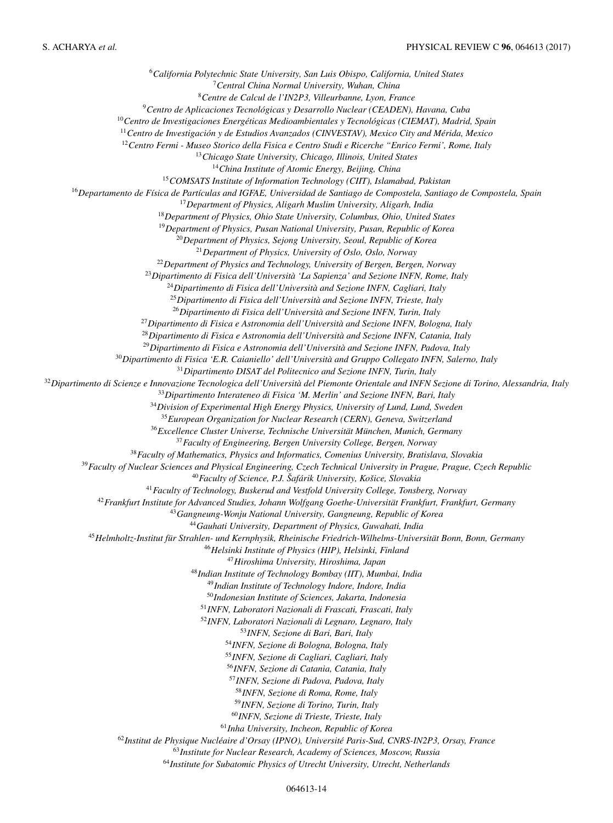<span id="page-13-0"></span>*California Polytechnic State University, San Luis Obispo, California, United States Central China Normal University, Wuhan, China Centre de Calcul de l'IN2P3, Villeurbanne, Lyon, France Centro de Aplicaciones Tecnológicas y Desarrollo Nuclear (CEADEN), Havana, Cuba Centro de Investigaciones Energéticas Medioambientales y Tecnológicas (CIEMAT), Madrid, Spain Centro de Investigación y de Estudios Avanzados (CINVESTAV), Mexico City and Mérida, Mexico Centro Fermi - Museo Storico della Fisica e Centro Studi e Ricerche "Enrico Fermi', Rome, Italy Chicago State University, Chicago, Illinois, United States China Institute of Atomic Energy, Beijing, China COMSATS Institute of Information Technology (CIIT), Islamabad, Pakistan Departamento de Física de Partículas and IGFAE, Universidad de Santiago de Compostela, Santiago de Compostela, Spain Department of Physics, Aligarh Muslim University, Aligarh, India Department of Physics, Ohio State University, Columbus, Ohio, United States Department of Physics, Pusan National University, Pusan, Republic of Korea Department of Physics, Sejong University, Seoul, Republic of Korea Department of Physics, University of Oslo, Oslo, Norway Department of Physics and Technology, University of Bergen, Bergen, Norway Dipartimento di Fisica dell'Università 'La Sapienza' and Sezione INFN, Rome, Italy Dipartimento di Fisica dell'Università and Sezione INFN, Cagliari, Italy Dipartimento di Fisica dell'Università and Sezione INFN, Trieste, Italy Dipartimento di Fisica dell'Università and Sezione INFN, Turin, Italy Dipartimento di Fisica e Astronomia dell'Università and Sezione INFN, Bologna, Italy Dipartimento di Fisica e Astronomia dell'Università and Sezione INFN, Catania, Italy Dipartimento di Fisica e Astronomia dell'Università and Sezione INFN, Padova, Italy Dipartimento di Fisica 'E.R. Caianiello' dell'Università and Gruppo Collegato INFN, Salerno, Italy Dipartimento DISAT del Politecnico and Sezione INFN, Turin, Italy Dipartimento di Scienze e Innovazione Tecnologica dell'Università del Piemonte Orientale and INFN Sezione di Torino, Alessandria, Italy Dipartimento Interateneo di Fisica 'M. Merlin' and Sezione INFN, Bari, Italy Division of Experimental High Energy Physics, University of Lund, Lund, Sweden European Organization for Nuclear Research (CERN), Geneva, Switzerland Excellence Cluster Universe, Technische Universität München, Munich, Germany Faculty of Engineering, Bergen University College, Bergen, Norway Faculty of Mathematics, Physics and Informatics, Comenius University, Bratislava, Slovakia Faculty of Nuclear Sciences and Physical Engineering, Czech Technical University in Prague, Prague, Czech Republic Faculty of Science, P.J. Šafárik University, Košice, Slovakia Faculty of Technology, Buskerud and Vestfold University College, Tonsberg, Norway Frankfurt Institute for Advanced Studies, Johann Wolfgang Goethe-Universität Frankfurt, Frankfurt, Germany Gangneung-Wonju National University, Gangneung, Republic of Korea Gauhati University, Department of Physics, Guwahati, India Helmholtz-Institut für Strahlen- und Kernphysik, Rheinische Friedrich-Wilhelms-Universität Bonn, Bonn, Germany Helsinki Institute of Physics (HIP), Helsinki, Finland Hiroshima University, Hiroshima, Japan Indian Institute of Technology Bombay (IIT), Mumbai, India Indian Institute of Technology Indore, Indore, India Indonesian Institute of Sciences, Jakarta, Indonesia INFN, Laboratori Nazionali di Frascati, Frascati, Italy INFN, Laboratori Nazionali di Legnaro, Legnaro, Italy INFN, Sezione di Bari, Bari, Italy INFN, Sezione di Bologna, Bologna, Italy INFN, Sezione di Cagliari, Cagliari, Italy INFN, Sezione di Catania, Catania, Italy INFN, Sezione di Padova, Padova, Italy INFN, Sezione di Roma, Rome, Italy INFN, Sezione di Torino, Turin, Italy INFN, Sezione di Trieste, Trieste, Italy Inha University, Incheon, Republic of Korea Institut de Physique Nucléaire d'Orsay (IPNO), Université Paris-Sud, CNRS-IN2P3, Orsay, France Institute for Nuclear Research, Academy of Sciences, Moscow, Russia Institute for Subatomic Physics of Utrecht University, Utrecht, Netherlands*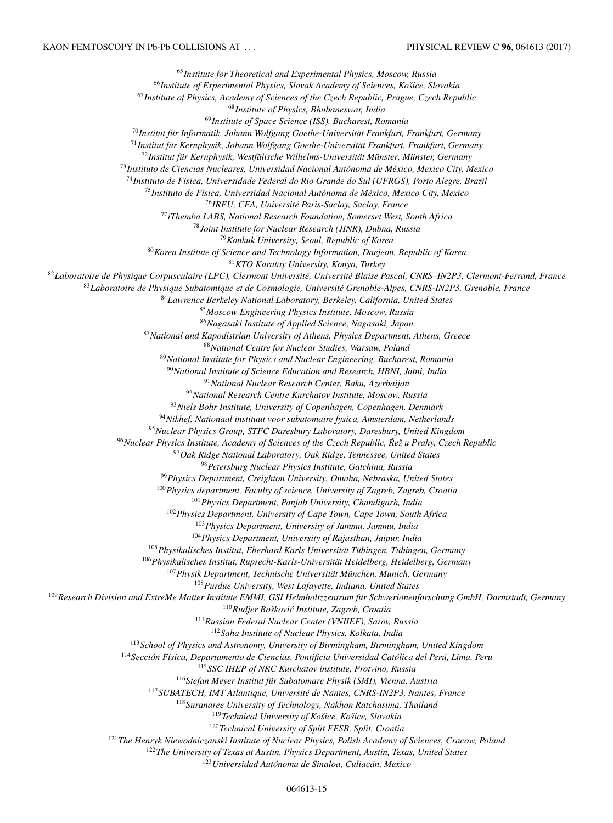<span id="page-14-0"></span>*Institute for Theoretical and Experimental Physics, Moscow, Russia Institute of Experimental Physics, Slovak Academy of Sciences, Košice, Slovakia Institute of Physics, Academy of Sciences of the Czech Republic, Prague, Czech Republic Institute of Physics, Bhubaneswar, India Institute of Space Science (ISS), Bucharest, Romania Institut für Informatik, Johann Wolfgang Goethe-Universität Frankfurt, Frankfurt, Germany Institut für Kernphysik, Johann Wolfgang Goethe-Universität Frankfurt, Frankfurt, Germany Institut für Kernphysik, Westfälische Wilhelms-Universität Münster, Münster, Germany Instituto de Ciencias Nucleares, Universidad Nacional Autónoma de México, Mexico City, Mexico Instituto de Física, Universidade Federal do Rio Grande do Sul (UFRGS), Porto Alegre, Brazil Instituto de Física, Universidad Nacional Autónoma de México, Mexico City, Mexico IRFU, CEA, Université Paris-Saclay, Saclay, France iThemba LABS, National Research Foundation, Somerset West, South Africa Joint Institute for Nuclear Research (JINR), Dubna, Russia Konkuk University, Seoul, Republic of Korea Korea Institute of Science and Technology Information, Daejeon, Republic of Korea KTO Karatay University, Konya, Turkey Laboratoire de Physique Corpusculaire (LPC), Clermont Université, Université Blaise Pascal, CNRS–IN2P3, Clermont-Ferrand, France Laboratoire de Physique Subatomique et de Cosmologie, Université Grenoble-Alpes, CNRS-IN2P3, Grenoble, France Lawrence Berkeley National Laboratory, Berkeley, California, United States Moscow Engineering Physics Institute, Moscow, Russia Nagasaki Institute of Applied Science, Nagasaki, Japan National and Kapodistrian University of Athens, Physics Department, Athens, Greece National Centre for Nuclear Studies, Warsaw, Poland National Institute for Physics and Nuclear Engineering, Bucharest, Romania National Institute of Science Education and Research, HBNI, Jatni, India National Nuclear Research Center, Baku, Azerbaijan National Research Centre Kurchatov Institute, Moscow, Russia Niels Bohr Institute, University of Copenhagen, Copenhagen, Denmark Nikhef, Nationaal instituut voor subatomaire fysica, Amsterdam, Netherlands Nuclear Physics Group, STFC Daresbury Laboratory, Daresbury, United Kingdom Nuclear Physics Institute, Academy of Sciences of the Czech Republic, Rež u Prahy, Czech Republic ˇ Oak Ridge National Laboratory, Oak Ridge, Tennessee, United States Petersburg Nuclear Physics Institute, Gatchina, Russia Physics Department, Creighton University, Omaha, Nebraska, United States Physics department, Faculty of science, University of Zagreb, Zagreb, Croatia Physics Department, Panjab University, Chandigarh, India Physics Department, University of Cape Town, Cape Town, South Africa Physics Department, University of Jammu, Jammu, India Physics Department, University of Rajasthan, Jaipur, India Physikalisches Institut, Eberhard Karls Universität Tübingen, Tübingen, Germany Physikalisches Institut, Ruprecht-Karls-Universität Heidelberg, Heidelberg, Germany Physik Department, Technische Universität München, Munich, Germany Purdue University, West Lafayette, Indiana, United States Research Division and ExtreMe Matter Institute EMMI, GSI Helmholtzzentrum für Schwerionenforschung GmbH, Darmstadt, Germany Rudjer Boškovic Institute, Zagreb, Croatia ´ Russian Federal Nuclear Center (VNIIEF), Sarov, Russia Saha Institute of Nuclear Physics, Kolkata, India School of Physics and Astronomy, University of Birmingham, Birmingham, United Kingdom Sección Física, Departamento de Ciencias, Pontificia Universidad Católica del Perú, Lima, Peru SSC IHEP of NRC Kurchatov institute, Protvino, Russia Stefan Meyer Institut für Subatomare Physik (SMI), Vienna, Austria SUBATECH, IMT Atlantique, Université de Nantes, CNRS-IN2P3, Nantes, France Suranaree University of Technology, Nakhon Ratchasima, Thailand Technical University of Košice, Košice, Slovakia Technical University of Split FESB, Split, Croatia The Henryk Niewodniczanski Institute of Nuclear Physics, Polish Academy of Sciences, Cracow, Poland The University of Texas at Austin, Physics Department, Austin, Texas, United States Universidad Autónoma de Sinaloa, Culiacán, Mexico*